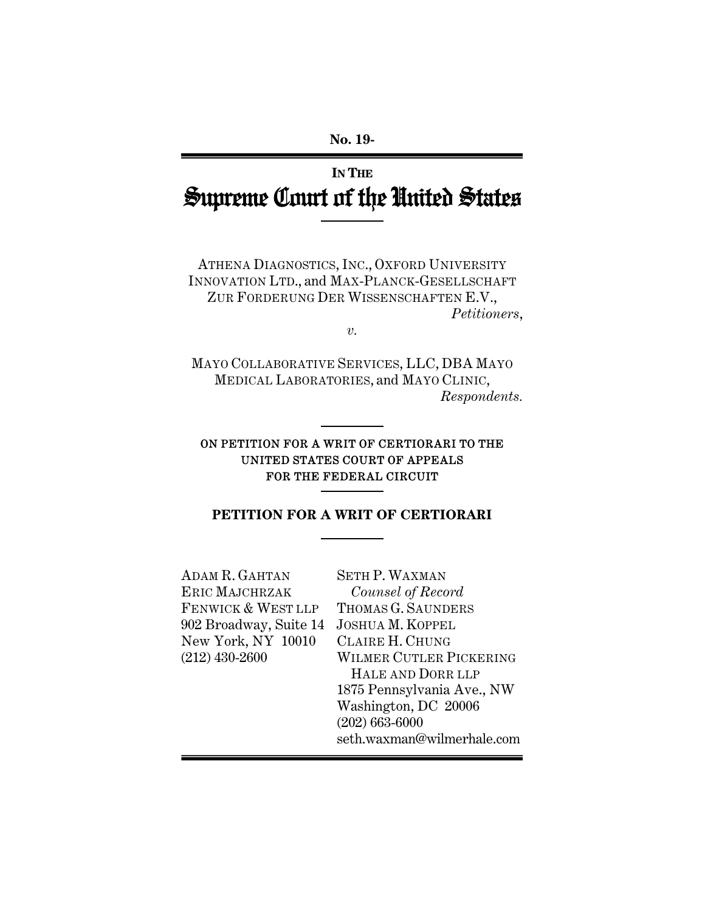# **IN THE** Supreme Court of the United States

ATHENA DIAGNOSTICS, INC., OXFORD UNIVERSITY INNOVATION LTD., and MAX-PLANCK-GESELLSCHAFT ZUR FORDERUNG DER WISSENSCHAFTEN E.V., *Petitioners*,

*v.* 

MAYO COLLABORATIVE SERVICES, LLC, DBA MAYO MEDICAL LABORATORIES, and MAYO CLINIC, *Respondents.* 

# ON PETITION FOR A WRIT OF CERTIORARI TO THE UNITED STATES COURT OF APPEALS FOR THE FEDERAL CIRCUIT

# **PETITION FOR A WRIT OF CERTIORARI**

| ADAM R. GAHTAN         | <b>SETH P. WAXMAN</b>      |
|------------------------|----------------------------|
| ERIC MAJCHRZAK         | Counsel of Record          |
| FENWICK & WEST LLP     | THOMAS G. SAUNDERS         |
| 902 Broadway, Suite 14 | <b>JOSHUA M. KOPPEL</b>    |
| New York, NY 10010     | <b>CLAIRE H. CHUNG</b>     |
| $(212)$ 430-2600       | WILMER CUTLER PICKERING    |
|                        | HALE AND DORR LLP          |
|                        | 1875 Pennsylvania Ave., NW |
|                        | Washington, DC 20006       |
|                        | $(202) 663 - 6000$         |
|                        | seth.waxman@wilmerhale.com |
|                        |                            |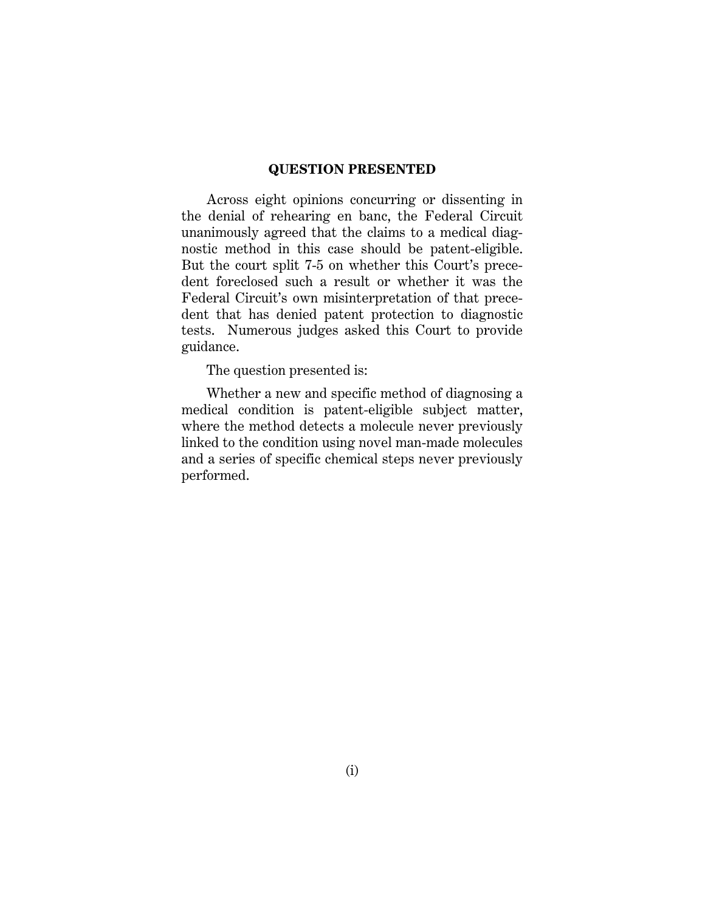### **QUESTION PRESENTED**

Across eight opinions concurring or dissenting in the denial of rehearing en banc, the Federal Circuit unanimously agreed that the claims to a medical diagnostic method in this case should be patent-eligible. But the court split 7-5 on whether this Court's precedent foreclosed such a result or whether it was the Federal Circuit's own misinterpretation of that precedent that has denied patent protection to diagnostic tests. Numerous judges asked this Court to provide guidance.

The question presented is:

Whether a new and specific method of diagnosing a medical condition is patent-eligible subject matter, where the method detects a molecule never previously linked to the condition using novel man-made molecules and a series of specific chemical steps never previously performed.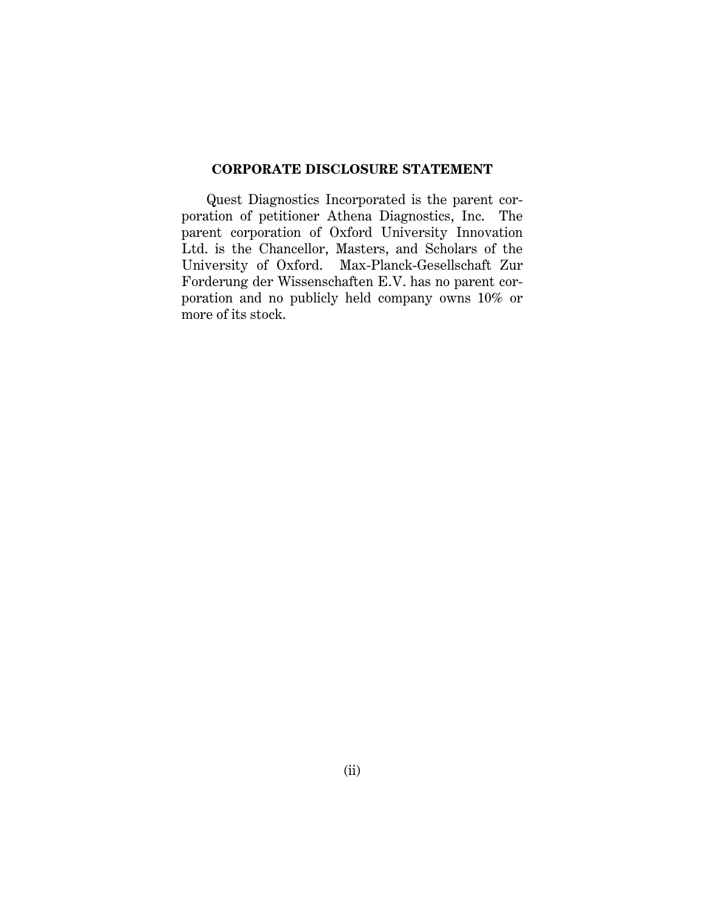### **CORPORATE DISCLOSURE STATEMENT**

Quest Diagnostics Incorporated is the parent corporation of petitioner Athena Diagnostics, Inc. The parent corporation of Oxford University Innovation Ltd. is the Chancellor, Masters, and Scholars of the University of Oxford. Max-Planck-Gesellschaft Zur Forderung der Wissenschaften E.V. has no parent corporation and no publicly held company owns 10% or more of its stock.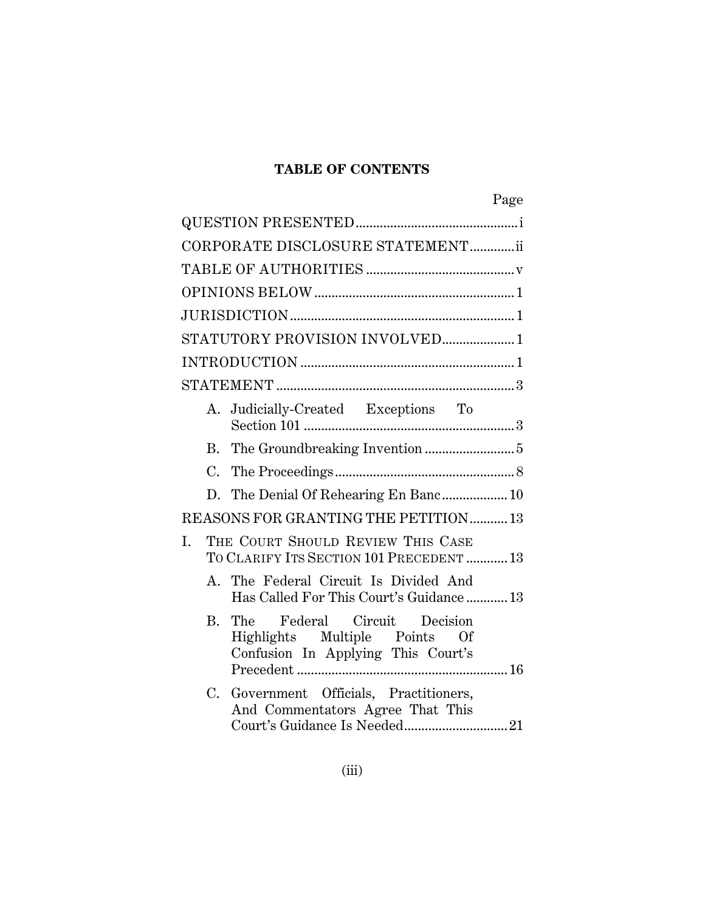# **TABLE OF CONTENTS**

|    |    |                                                                                                     | Page |
|----|----|-----------------------------------------------------------------------------------------------------|------|
|    |    |                                                                                                     |      |
|    |    | CORPORATE DISCLOSURE STATEMENTii                                                                    |      |
|    |    |                                                                                                     |      |
|    |    |                                                                                                     |      |
|    |    |                                                                                                     |      |
|    |    | STATUTORY PROVISION INVOLVED1                                                                       |      |
|    |    |                                                                                                     |      |
|    |    |                                                                                                     |      |
|    |    | A. Judicially-Created Exceptions To                                                                 |      |
|    |    |                                                                                                     |      |
|    |    |                                                                                                     |      |
|    |    | D. The Denial Of Rehearing En Banc 10                                                               |      |
|    |    | REASONS FOR GRANTING THE PETITION13                                                                 |      |
| I. |    | THE COURT SHOULD REVIEW THIS CASE<br>TO CLARIFY ITS SECTION 101 PRECEDENT  13                       |      |
|    |    | A. The Federal Circuit Is Divided And<br>Has Called For This Court's Guidance  13                   |      |
|    | В. | The Federal Circuit Decision<br>Highlights Multiple Points Of<br>Confusion In Applying This Court's |      |
|    | C. | Government Officials, Practitioners,<br>And Commentators Agree That This                            |      |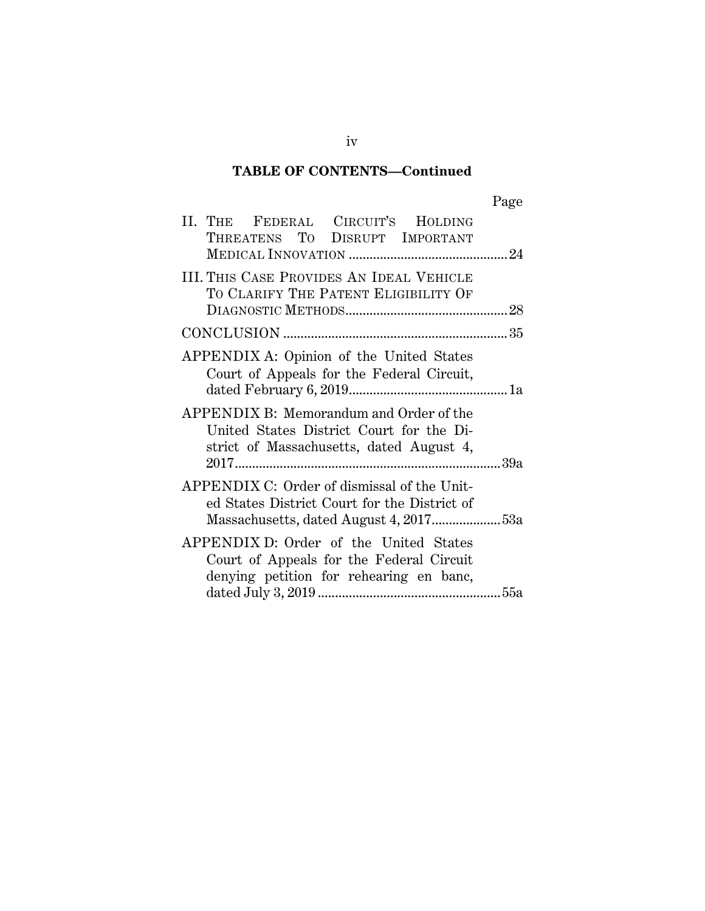# **TABLE OF CONTENTS—Continued**

| II. THE FEDERAL CIRCUIT'S HOLDING<br>THREATENS TO DISRUPT IMPORTANT                                                             |  |
|---------------------------------------------------------------------------------------------------------------------------------|--|
| III. THIS CASE PROVIDES AN IDEAL VEHICLE<br>TO CLARIFY THE PATENT ELIGIBILITY OF                                                |  |
|                                                                                                                                 |  |
| APPENDIX A: Opinion of the United States<br>Court of Appeals for the Federal Circuit,                                           |  |
| APPENDIX B: Memorandum and Order of the<br>United States District Court for the Di-<br>strict of Massachusetts, dated August 4, |  |
| APPENDIX C: Order of dismissal of the Unit-<br>ed States District Court for the District of                                     |  |
| APPENDIX D: Order of the United States<br>Court of Appeals for the Federal Circuit<br>denying petition for rehearing en banc,   |  |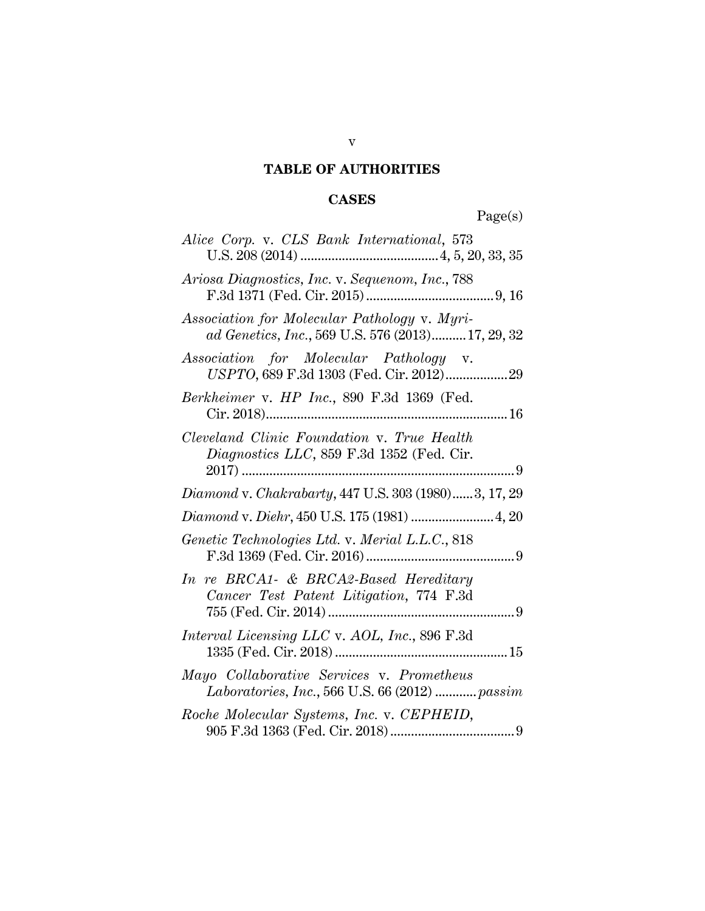# **TABLE OF AUTHORITIES**

# **CASES**

Page(s)

| Alice Corp. v. CLS Bank International, 573                                                        |
|---------------------------------------------------------------------------------------------------|
| Ariosa Diagnostics, Inc. v. Sequenom, Inc., 788                                                   |
| Association for Molecular Pathology v. Myri-<br>ad Genetics, Inc., 569 U.S. 576 (2013) 17, 29, 32 |
| Association for Molecular Pathology v.<br>USPTO, 689 F.3d 1303 (Fed. Cir. 2012) 29                |
| Berkheimer v. HP Inc., 890 F.3d 1369 (Fed.                                                        |
| Cleveland Clinic Foundation v. True Health<br>Diagnostics LLC, 859 F.3d 1352 (Fed. Cir.           |
| Diamond v. Chakrabarty, 447 U.S. 303 (1980)3, 17, 29                                              |
| Diamond v. Diehr, 450 U.S. 175 (1981)  4, 20                                                      |
| Genetic Technologies Ltd. v. Merial L.L.C., 818                                                   |
| In re BRCA1- & BRCA2-Based Hereditary<br>Cancer Test Patent Litigation, 774 F.3d                  |
| Interval Licensing LLC v. AOL, Inc., 896 F.3d                                                     |
| Mayo Collaborative Services v. Prometheus<br>Laboratories, Inc., 566 U.S. 66 (2012)  passim       |
| Roche Molecular Systems, Inc. v. CEPHEID,                                                         |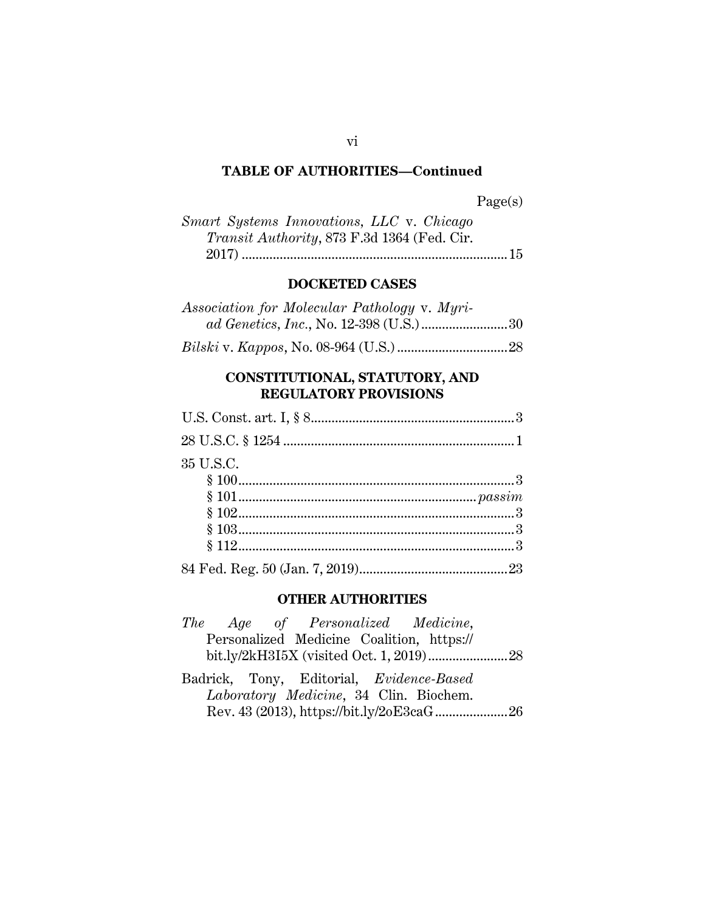| Smart Systems Innovations, LLC v. Chicago           |  |
|-----------------------------------------------------|--|
| <i>Transit Authority</i> , 873 F.3d 1364 (Fed. Cir. |  |
|                                                     |  |

### **DOCKETED CASES**

| Association for Molecular Pathology v. Myri- |
|----------------------------------------------|
|                                              |

*Bilski* v. *Kappos*, No. 08-964 (U.S.) ................................ 28

# **CONSTITUTIONAL, STATUTORY, AND REGULATORY PROVISIONS**

| 35 U.S.C. |
|-----------|
|           |
|           |
|           |
|           |
|           |
|           |

### **OTHER AUTHORITIES**

|  | The Age of Personalized Medicine,         |  |  |
|--|-------------------------------------------|--|--|
|  | Personalized Medicine Coalition, https:// |  |  |
|  |                                           |  |  |
|  | Badrick, Tony, Editorial, Evidence-Based  |  |  |
|  | Laboratory Medicine, 34 Clin. Biochem.    |  |  |
|  | Rev. 43 (2013), https://bit.ly/2oE3caG26  |  |  |

### vi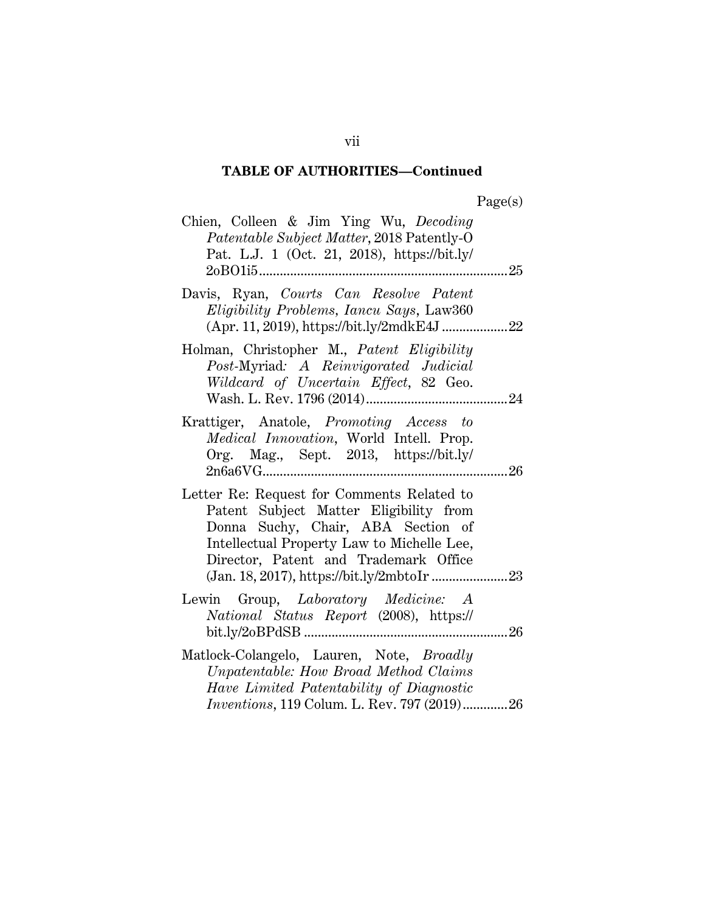| Chien, Colleen & Jim Ying Wu, Decoding<br>Patentable Subject Matter, 2018 Patently-O<br>Pat. L.J. 1 (Oct. 21, 2018), https://bit.ly/<br>2oBO1i5<br>.                                                              | 25 |
|-------------------------------------------------------------------------------------------------------------------------------------------------------------------------------------------------------------------|----|
| Davis, Ryan, Courts Can Resolve Patent<br>Eligibility Problems, Iancu Says, Law360                                                                                                                                |    |
| Holman, Christopher M., Patent Eligibility<br>Post-Myriad: A Reinvigorated Judicial<br>Wildcard of Uncertain Effect, 82 Geo.                                                                                      |    |
| Krattiger, Anatole, Promoting Access to<br>Medical Innovation, World Intell. Prop.<br>Org. Mag., Sept. 2013, https://bit.ly/                                                                                      | 26 |
| Letter Re: Request for Comments Related to<br>Patent Subject Matter Eligibility from<br>Donna Suchy, Chair, ABA Section of<br>Intellectual Property Law to Michelle Lee,<br>Director, Patent and Trademark Office |    |
| Lewin Group, Laboratory Medicine: A<br>National Status Report (2008), https://                                                                                                                                    | 26 |
| Matlock-Colangelo, Lauren, Note, Broadly<br>Unpatentable: How Broad Method Claims<br>Have Limited Patentability of Diagnostic<br>Inventions, 119 Colum. L. Rev. 797 (2019)26                                      |    |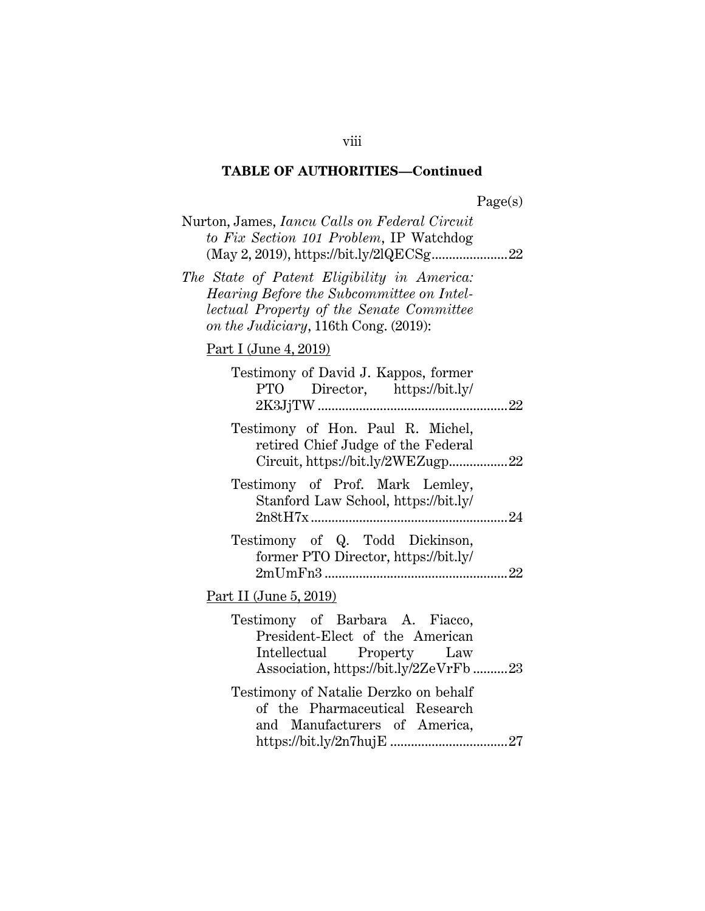| Page(s |
|--------|
|--------|

| Page(s)                                                                                                                                  |
|------------------------------------------------------------------------------------------------------------------------------------------|
| Nurton, James, <i>Iancu Calls on Federal Circuit</i><br>to Fix Section 101 Problem, IP Watchdog                                          |
| The State of Patent Eligibility in America:<br>lectual Property of the Senate Committee                                                  |
|                                                                                                                                          |
| Testimony of David J. Kappos, former<br>Director, https://bit.ly/                                                                        |
| Testimony of Hon. Paul R. Michel,<br>retired Chief Judge of the Federal<br>Circuit, https://bit.ly/2WEZugp22                             |
| Stanford Law School, https://bit.ly/                                                                                                     |
| Testimony of Q. Todd Dickinson,<br>former PTO Director, https://bit.ly/                                                                  |
|                                                                                                                                          |
| Testimony of Barbara A. Fiacco,<br>President-Elect of the American<br>Intellectual Property Law<br>Association, https://bit.ly/2ZeVrFb23 |
| Testimony of Natalie Derzko on behalf<br>of the Pharmaceutical Research<br>and Manufacturers of America,                                 |
| Hearing Before the Subcommittee on Intel-<br>Testimony of Prof. Mark Lemley,                                                             |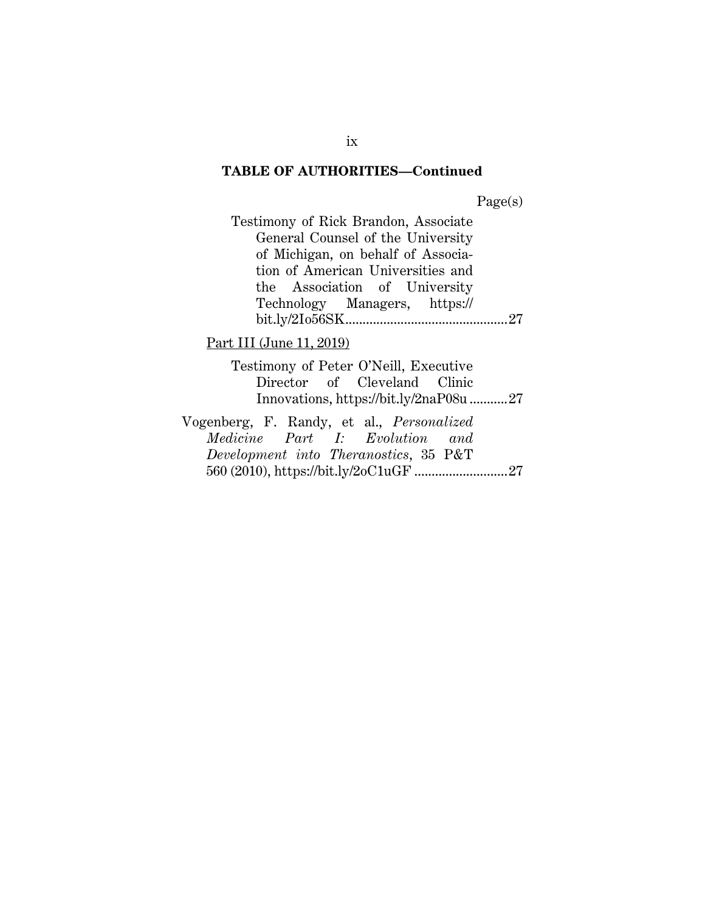Page(s)

| Testimony of Rick Brandon, Associate |  |
|--------------------------------------|--|
| General Counsel of the University    |  |
| of Michigan, on behalf of Associa-   |  |
| tion of American Universities and    |  |
| the Association of University        |  |
| Technology Managers, https://        |  |
|                                      |  |
|                                      |  |

# Part III (June 11, 2019)

Testimony of Peter O'Neill, Executive Director of Cleveland Clinic Innovations, https://bit.ly/2naP08u ........... 27

Vogenberg, F. Randy, et al., *Personalized Medicine Part I: Evolution and Development into Theranostics*, 35 P&T 560 (2010), https://bit.ly/2oC1uGF ........................... 27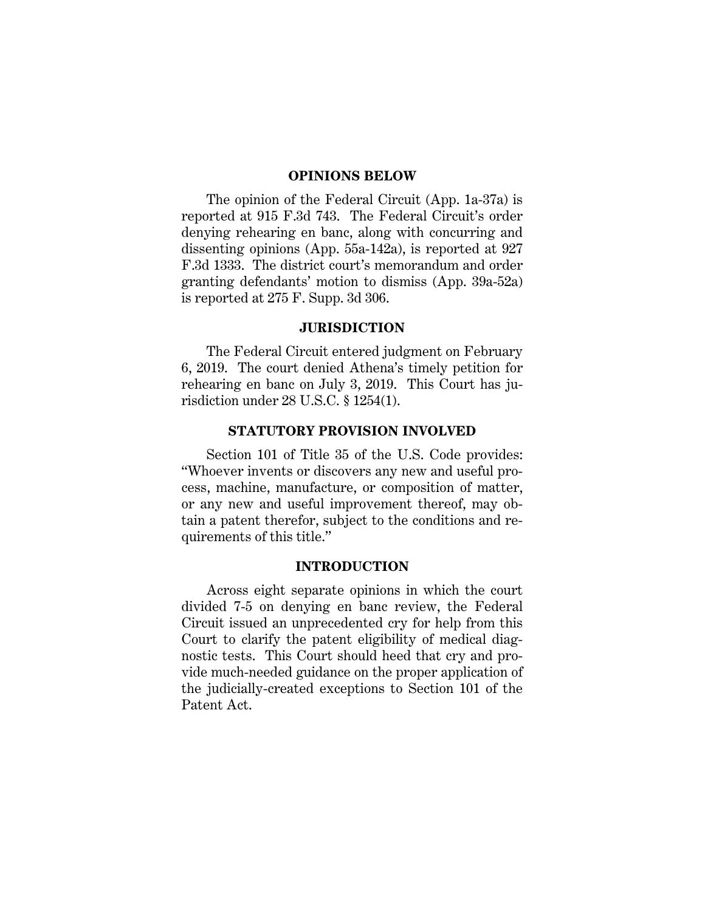#### **OPINIONS BELOW**

The opinion of the Federal Circuit (App. 1a-37a) is reported at 915 F.3d 743. The Federal Circuit's order denying rehearing en banc, along with concurring and dissenting opinions (App. 55a-142a), is reported at 927 F.3d 1333. The district court's memorandum and order granting defendants' motion to dismiss (App. 39a-52a) is reported at 275 F. Supp. 3d 306.

#### **JURISDICTION**

The Federal Circuit entered judgment on February 6, 2019. The court denied Athena's timely petition for rehearing en banc on July 3, 2019. This Court has jurisdiction under 28 U.S.C. § 1254(1).

### **STATUTORY PROVISION INVOLVED**

Section 101 of Title 35 of the U.S. Code provides: "Whoever invents or discovers any new and useful process, machine, manufacture, or composition of matter, or any new and useful improvement thereof, may obtain a patent therefor, subject to the conditions and requirements of this title."

### **INTRODUCTION**

Across eight separate opinions in which the court divided 7-5 on denying en banc review, the Federal Circuit issued an unprecedented cry for help from this Court to clarify the patent eligibility of medical diagnostic tests. This Court should heed that cry and provide much-needed guidance on the proper application of the judicially-created exceptions to Section 101 of the Patent Act.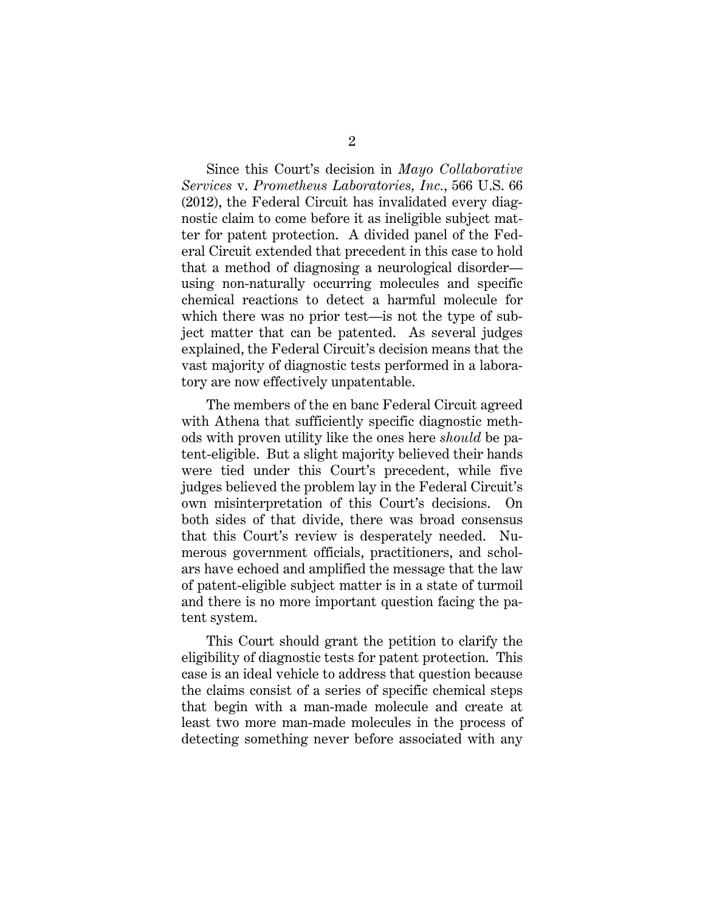Since this Court's decision in *Mayo Collaborative Services* v. *Prometheus Laboratories, Inc.*, 566 U.S. 66 (2012), the Federal Circuit has invalidated every diagnostic claim to come before it as ineligible subject matter for patent protection. A divided panel of the Federal Circuit extended that precedent in this case to hold that a method of diagnosing a neurological disorder using non-naturally occurring molecules and specific chemical reactions to detect a harmful molecule for which there was no prior test—is not the type of subject matter that can be patented. As several judges explained, the Federal Circuit's decision means that the vast majority of diagnostic tests performed in a laboratory are now effectively unpatentable.

The members of the en banc Federal Circuit agreed with Athena that sufficiently specific diagnostic methods with proven utility like the ones here *should* be patent-eligible. But a slight majority believed their hands were tied under this Court's precedent, while five judges believed the problem lay in the Federal Circuit's own misinterpretation of this Court's decisions. On both sides of that divide, there was broad consensus that this Court's review is desperately needed. Numerous government officials, practitioners, and scholars have echoed and amplified the message that the law of patent-eligible subject matter is in a state of turmoil and there is no more important question facing the patent system.

 This Court should grant the petition to clarify the eligibility of diagnostic tests for patent protection. This case is an ideal vehicle to address that question because the claims consist of a series of specific chemical steps that begin with a man-made molecule and create at least two more man-made molecules in the process of detecting something never before associated with any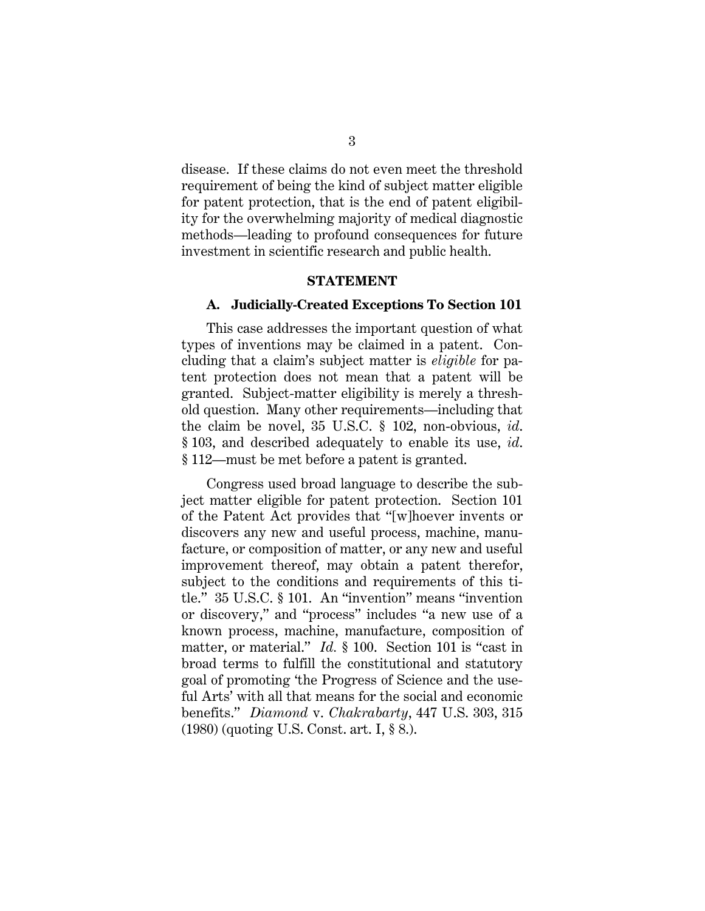disease. If these claims do not even meet the threshold requirement of being the kind of subject matter eligible for patent protection, that is the end of patent eligibility for the overwhelming majority of medical diagnostic methods—leading to profound consequences for future investment in scientific research and public health.

#### **STATEMENT**

#### **A. Judicially-Created Exceptions To Section 101**

This case addresses the important question of what types of inventions may be claimed in a patent. Concluding that a claim's subject matter is *eligible* for patent protection does not mean that a patent will be granted. Subject-matter eligibility is merely a threshold question. Many other requirements—including that the claim be novel, 35 U.S.C. § 102, non-obvious, *id*. § 103, and described adequately to enable its use, *id*. § 112—must be met before a patent is granted.

Congress used broad language to describe the subject matter eligible for patent protection. Section 101 of the Patent Act provides that "[w]hoever invents or discovers any new and useful process, machine, manufacture, or composition of matter, or any new and useful improvement thereof, may obtain a patent therefor, subject to the conditions and requirements of this title." 35 U.S.C. § 101. An "invention" means "invention or discovery," and "process" includes "a new use of a known process, machine, manufacture, composition of matter, or material." *Id.* § 100. Section 101 is "cast in broad terms to fulfill the constitutional and statutory goal of promoting 'the Progress of Science and the useful Arts' with all that means for the social and economic benefits." *Diamond* v. *Chakrabarty*, 447 U.S. 303, 315 (1980) (quoting U.S. Const. art. I, § 8.).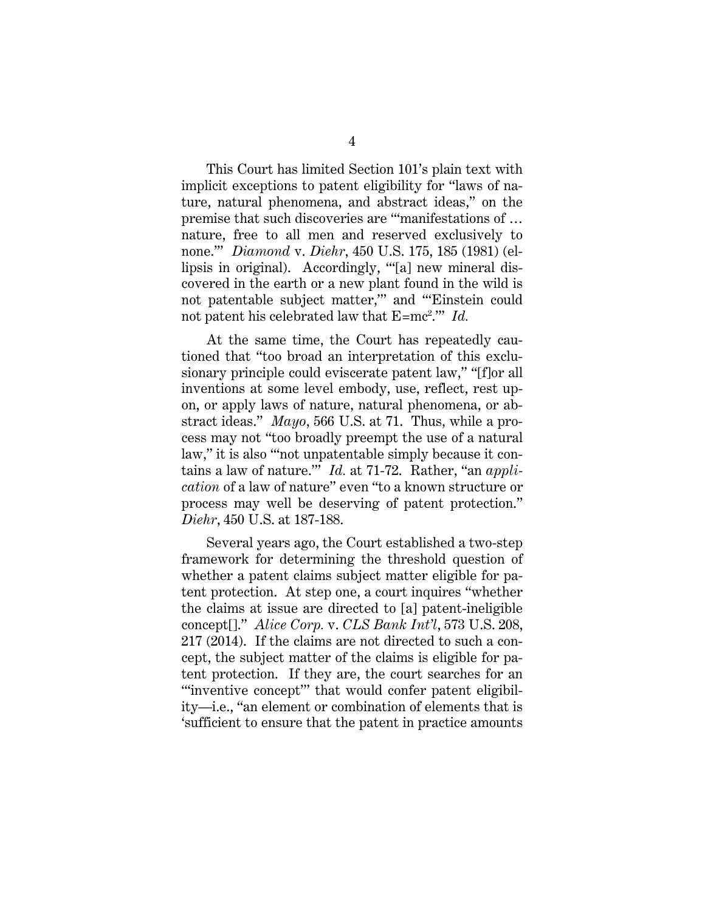This Court has limited Section 101's plain text with implicit exceptions to patent eligibility for "laws of nature, natural phenomena, and abstract ideas," on the premise that such discoveries are "'manifestations of … nature, free to all men and reserved exclusively to none.'" *Diamond* v. *Diehr*, 450 U.S. 175, 185 (1981) (ellipsis in original). Accordingly, "'[a] new mineral discovered in the earth or a new plant found in the wild is not patentable subject matter,'" and "'Einstein could not patent his celebrated law that E=mc<sup>2</sup>." *Id.* 

At the same time, the Court has repeatedly cautioned that "too broad an interpretation of this exclusionary principle could eviscerate patent law," "[f]or all inventions at some level embody, use, reflect, rest upon, or apply laws of nature, natural phenomena, or abstract ideas." *Mayo*, 566 U.S. at 71. Thus, while a process may not "too broadly preempt the use of a natural law," it is also "'not unpatentable simply because it contains a law of nature.'" *Id.* at 71-72. Rather, "an *application* of a law of nature" even "to a known structure or process may well be deserving of patent protection." *Diehr*, 450 U.S. at 187-188.

Several years ago, the Court established a two-step framework for determining the threshold question of whether a patent claims subject matter eligible for patent protection. At step one, a court inquires "whether the claims at issue are directed to [a] patent-ineligible concept[]." *Alice Corp.* v. *CLS Bank Int'l*, 573 U.S. 208, 217 (2014). If the claims are not directed to such a concept, the subject matter of the claims is eligible for patent protection. If they are, the court searches for an "inventive concept" that would confer patent eligibility—i.e., "an element or combination of elements that is 'sufficient to ensure that the patent in practice amounts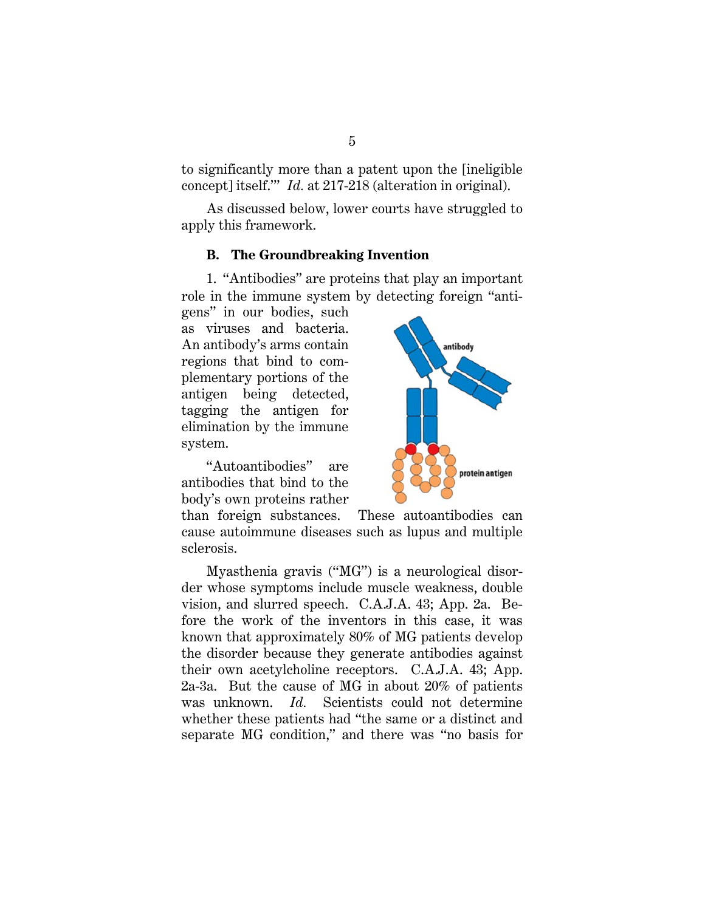to significantly more than a patent upon the [ineligible concept] itself.'" *Id.* at 217-218 (alteration in original).

As discussed below, lower courts have struggled to apply this framework.

### **B. The Groundbreaking Invention**

1. "Antibodies" are proteins that play an important role in the immune system by detecting foreign "anti-

gens" in our bodies, such as viruses and bacteria. An antibody's arms contain regions that bind to complementary portions of the antigen being detected, tagging the antigen for elimination by the immune system.

"Autoantibodies" are antibodies that bind to the body's own proteins rather



than foreign substances. These autoantibodies can cause autoimmune diseases such as lupus and multiple sclerosis.

Myasthenia gravis ("MG") is a neurological disorder whose symptoms include muscle weakness, double vision, and slurred speech. C.A.J.A. 43; App. 2a. Before the work of the inventors in this case, it was known that approximately 80% of MG patients develop the disorder because they generate antibodies against their own acetylcholine receptors. C.A.J.A. 43; App. 2a-3a. But the cause of MG in about 20% of patients was unknown. *Id.* Scientists could not determine whether these patients had "the same or a distinct and separate MG condition," and there was "no basis for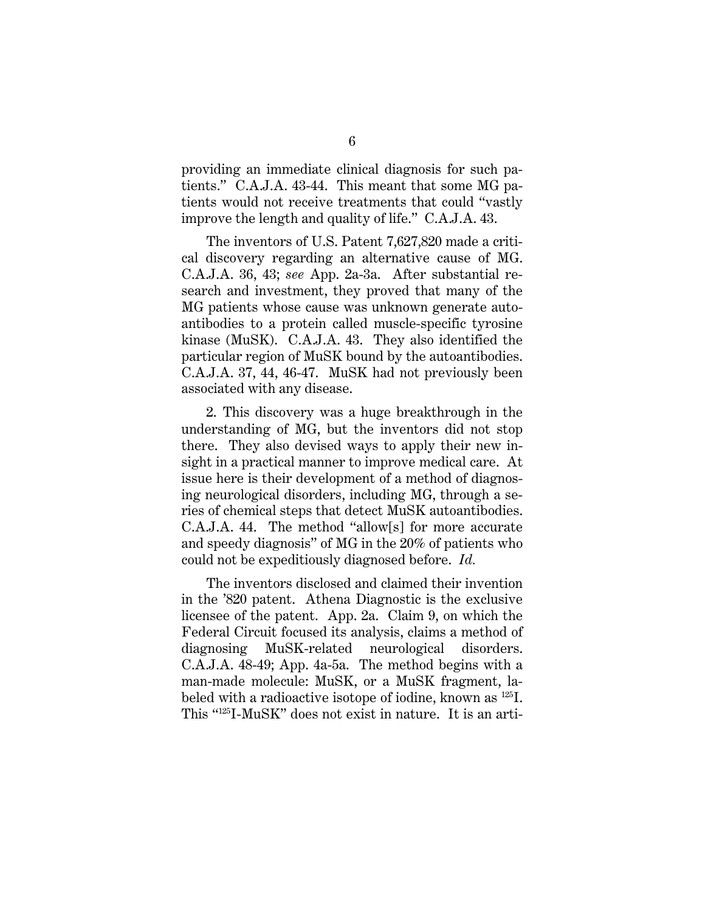providing an immediate clinical diagnosis for such patients." C.A.J.A. 43-44. This meant that some MG patients would not receive treatments that could "vastly improve the length and quality of life." C.A.J.A. 43.

The inventors of U.S. Patent 7,627,820 made a critical discovery regarding an alternative cause of MG. C.A.J.A. 36, 43; *see* App. 2a-3a. After substantial research and investment, they proved that many of the MG patients whose cause was unknown generate autoantibodies to a protein called muscle-specific tyrosine kinase (MuSK). C.A.J.A. 43. They also identified the particular region of MuSK bound by the autoantibodies. C.A.J.A. 37, 44, 46-47. MuSK had not previously been associated with any disease.

2. This discovery was a huge breakthrough in the understanding of MG, but the inventors did not stop there. They also devised ways to apply their new insight in a practical manner to improve medical care. At issue here is their development of a method of diagnosing neurological disorders, including MG, through a series of chemical steps that detect MuSK autoantibodies. C.A.J.A. 44. The method "allow[s] for more accurate and speedy diagnosis" of MG in the 20% of patients who could not be expeditiously diagnosed before. *Id.*

The inventors disclosed and claimed their invention in the '820 patent. Athena Diagnostic is the exclusive licensee of the patent. App. 2a. Claim 9, on which the Federal Circuit focused its analysis, claims a method of diagnosing MuSK-related neurological disorders. C.A.J.A. 48-49; App. 4a-5a. The method begins with a man-made molecule: MuSK, or a MuSK fragment, labeled with a radioactive isotope of iodine, known as 125I. This "125I-MuSK" does not exist in nature. It is an arti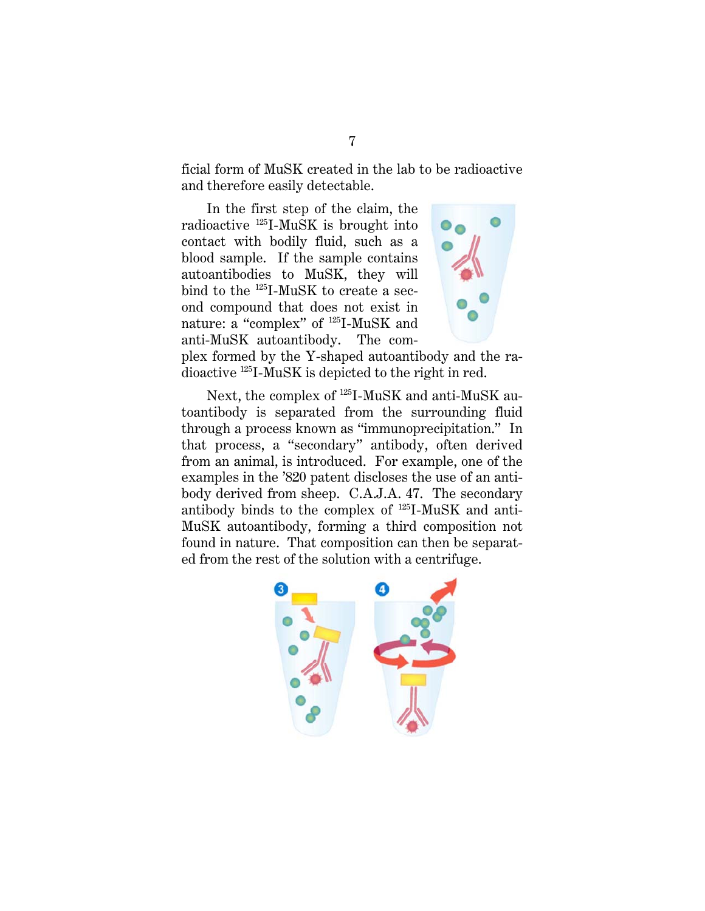ficial form of MuSK created in the lab to be radioactive and therefore easily detectable.

In the first step of the claim, the radioactive 125I-MuSK is brought into contact with bodily fluid, such as a blood sample. If the sample contains autoantibodies to MuSK, they will bind to the 125I-MuSK to create a second compound that does not exist in nature: a "complex" of 125I-MuSK and anti-MuSK autoantibody. The com-



plex formed by the Y-shaped autoantibody and the radioactive 125I-MuSK is depicted to the right in red.

Next, the complex of 125I-MuSK and anti-MuSK autoantibody is separated from the surrounding fluid through a process known as "immunoprecipitation." In that process, a "secondary" antibody, often derived from an animal, is introduced. For example, one of the examples in the '820 patent discloses the use of an antibody derived from sheep. C.A.J.A. 47. The secondary antibody binds to the complex of 125I-MuSK and anti-MuSK autoantibody, forming a third composition not found in nature. That composition can then be separated from the rest of the solution with a centrifuge.

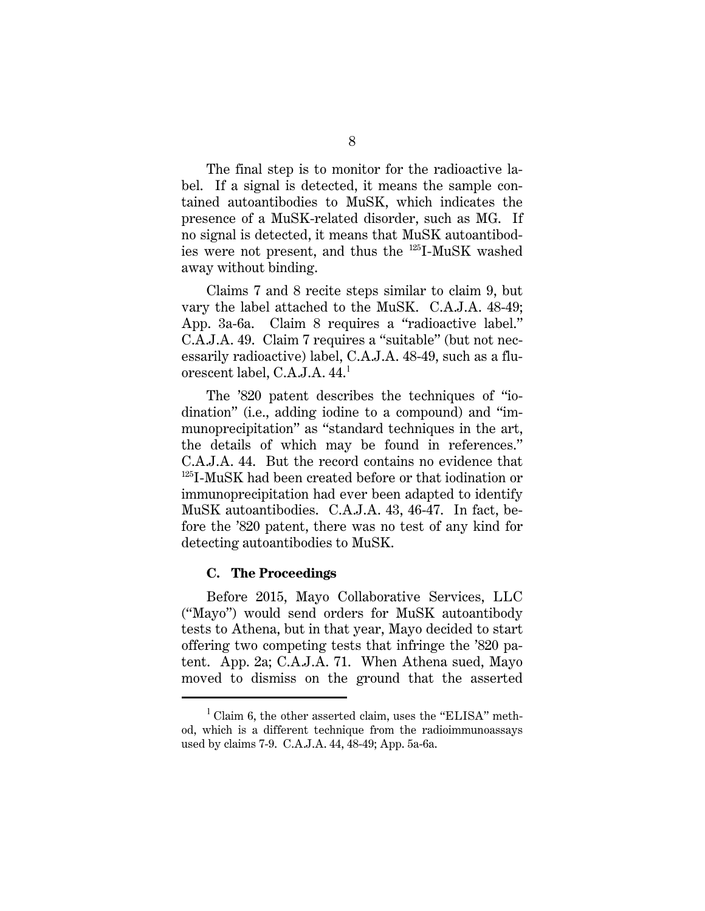The final step is to monitor for the radioactive label. If a signal is detected, it means the sample contained autoantibodies to MuSK, which indicates the presence of a MuSK-related disorder, such as MG. If no signal is detected, it means that MuSK autoantibodies were not present, and thus the 125I-MuSK washed away without binding.

Claims 7 and 8 recite steps similar to claim 9, but vary the label attached to the MuSK. C.A.J.A. 48-49; App. 3a-6a. Claim 8 requires a "radioactive label." C.A.J.A. 49. Claim 7 requires a "suitable" (but not necessarily radioactive) label, C.A.J.A. 48-49, such as a fluorescent label, C.A.J.A. 44.<sup>1</sup>

The '820 patent describes the techniques of "iodination" (i.e., adding iodine to a compound) and "immunoprecipitation" as "standard techniques in the art, the details of which may be found in references." C.A.J.A. 44. But the record contains no evidence that 125I-MuSK had been created before or that iodination or immunoprecipitation had ever been adapted to identify MuSK autoantibodies. C.A.J.A. 43, 46-47. In fact, before the '820 patent, there was no test of any kind for detecting autoantibodies to MuSK.

#### **C. The Proceedings**

I

Before 2015, Mayo Collaborative Services, LLC ("Mayo") would send orders for MuSK autoantibody tests to Athena, but in that year, Mayo decided to start offering two competing tests that infringe the '820 patent. App. 2a; C.A.J.A. 71. When Athena sued, Mayo moved to dismiss on the ground that the asserted

 $1$  Claim 6, the other asserted claim, uses the "ELISA" method, which is a different technique from the radioimmunoassays used by claims 7-9. C.A.J.A. 44, 48-49; App. 5a-6a.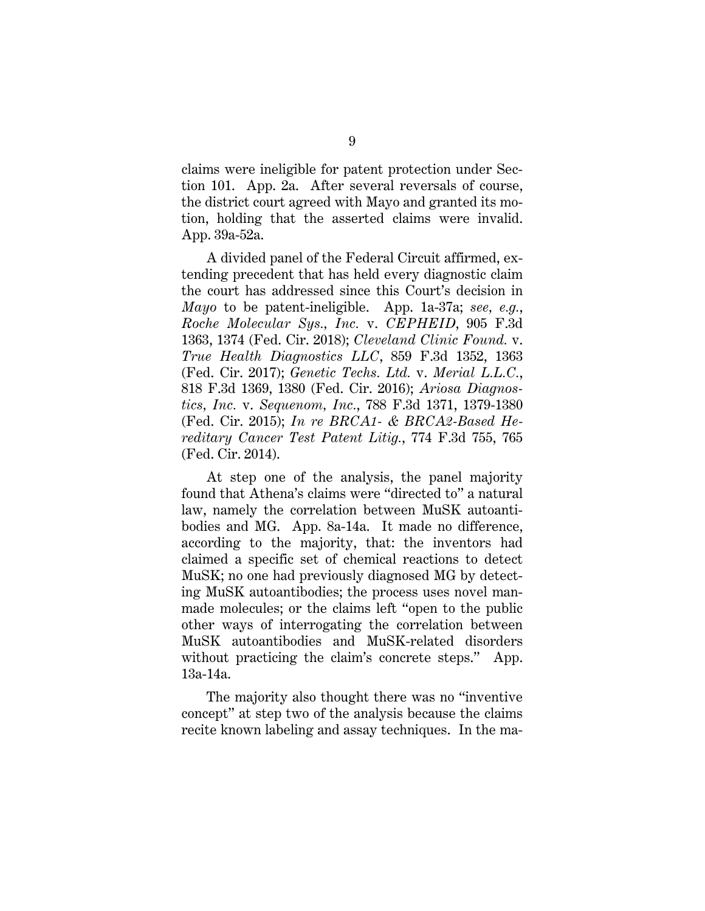claims were ineligible for patent protection under Section 101. App. 2a. After several reversals of course, the district court agreed with Mayo and granted its motion, holding that the asserted claims were invalid. App. 39a-52a.

A divided panel of the Federal Circuit affirmed, extending precedent that has held every diagnostic claim the court has addressed since this Court's decision in *Mayo* to be patent-ineligible. App. 1a-37a; *see, e.g.*, *Roche Molecular Sys., Inc.* v. *CEPHEID*, 905 F.3d 1363, 1374 (Fed. Cir. 2018); *Cleveland Clinic Found.* v. *True Health Diagnostics LLC*, 859 F.3d 1352, 1363 (Fed. Cir. 2017); *Genetic Techs. Ltd.* v. *Merial L.L.C.*, 818 F.3d 1369, 1380 (Fed. Cir. 2016); *Ariosa Diagnostics, Inc.* v. *Sequenom, Inc.*, 788 F.3d 1371, 1379-1380 (Fed. Cir. 2015); *In re BRCA1- & BRCA2-Based Hereditary Cancer Test Patent Litig.*, 774 F.3d 755, 765 (Fed. Cir. 2014).

At step one of the analysis, the panel majority found that Athena's claims were "directed to" a natural law, namely the correlation between MuSK autoantibodies and MG. App. 8a-14a. It made no difference, according to the majority, that: the inventors had claimed a specific set of chemical reactions to detect MuSK; no one had previously diagnosed MG by detecting MuSK autoantibodies; the process uses novel manmade molecules; or the claims left "open to the public other ways of interrogating the correlation between MuSK autoantibodies and MuSK-related disorders without practicing the claim's concrete steps." App. 13a-14a.

The majority also thought there was no "inventive concept" at step two of the analysis because the claims recite known labeling and assay techniques. In the ma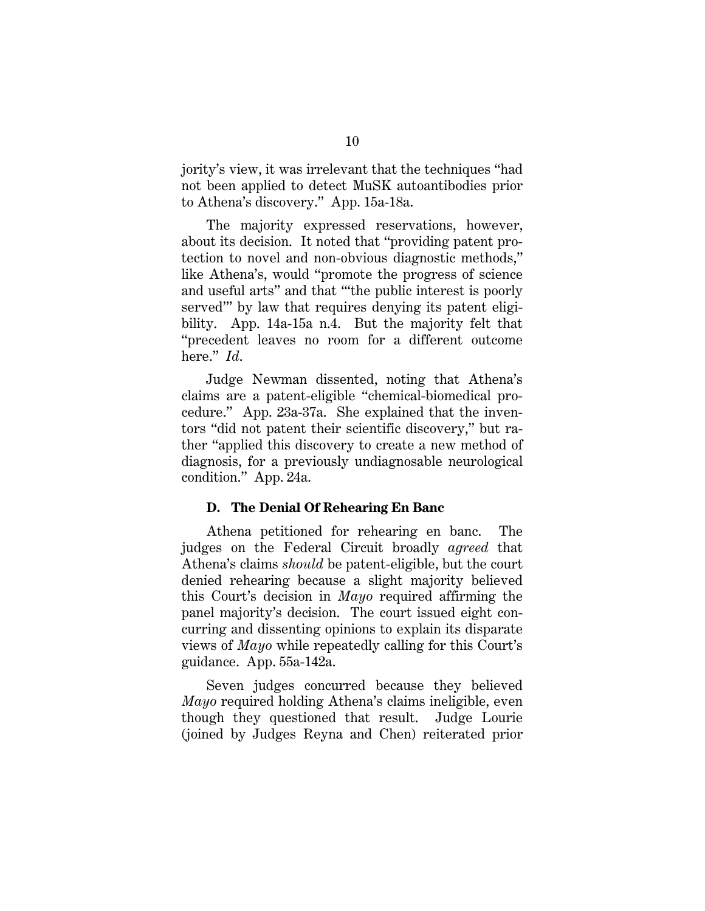jority's view, it was irrelevant that the techniques "had not been applied to detect MuSK autoantibodies prior to Athena's discovery." App. 15a-18a.

The majority expressed reservations, however, about its decision. It noted that "providing patent protection to novel and non-obvious diagnostic methods," like Athena's, would "promote the progress of science and useful arts" and that "'the public interest is poorly served'" by law that requires denying its patent eligibility. App. 14a-15a n.4. But the majority felt that "precedent leaves no room for a different outcome here." *Id*.

Judge Newman dissented, noting that Athena's claims are a patent-eligible "chemical-biomedical procedure." App. 23a-37a. She explained that the inventors "did not patent their scientific discovery," but rather "applied this discovery to create a new method of diagnosis, for a previously undiagnosable neurological condition." App. 24a.

### **D. The Denial Of Rehearing En Banc**

Athena petitioned for rehearing en banc. The judges on the Federal Circuit broadly *agreed* that Athena's claims *should* be patent-eligible, but the court denied rehearing because a slight majority believed this Court's decision in *Mayo* required affirming the panel majority's decision. The court issued eight concurring and dissenting opinions to explain its disparate views of *Mayo* while repeatedly calling for this Court's guidance. App. 55a-142a.

Seven judges concurred because they believed *Mayo* required holding Athena's claims ineligible, even though they questioned that result. Judge Lourie (joined by Judges Reyna and Chen) reiterated prior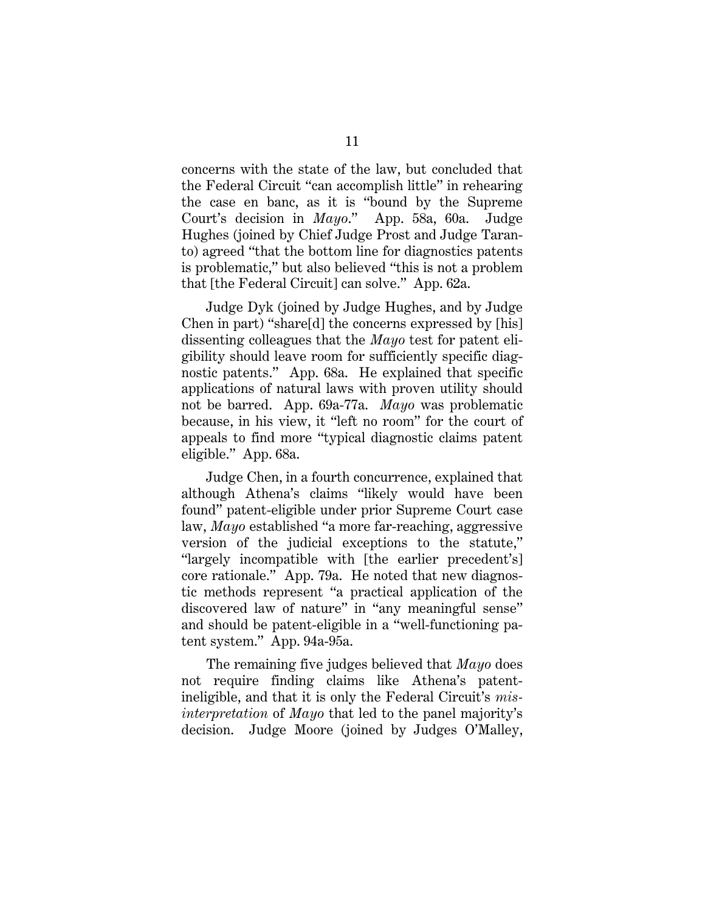concerns with the state of the law, but concluded that the Federal Circuit "can accomplish little" in rehearing the case en banc, as it is "bound by the Supreme Court's decision in *Mayo*." App. 58a, 60a. Judge Hughes (joined by Chief Judge Prost and Judge Taranto) agreed "that the bottom line for diagnostics patents is problematic," but also believed "this is not a problem that [the Federal Circuit] can solve."App. 62a.

Judge Dyk (joined by Judge Hughes, and by Judge Chen in part) "share[d] the concerns expressed by [his] dissenting colleagues that the *Mayo* test for patent eligibility should leave room for sufficiently specific diagnostic patents." App. 68a. He explained that specific applications of natural laws with proven utility should not be barred. App. 69a-77a. *Mayo* was problematic because, in his view, it "left no room" for the court of appeals to find more "typical diagnostic claims patent eligible." App. 68a.

Judge Chen, in a fourth concurrence, explained that although Athena's claims "likely would have been found" patent-eligible under prior Supreme Court case law, *Mayo* established "a more far-reaching, aggressive version of the judicial exceptions to the statute," "largely incompatible with [the earlier precedent's] core rationale." App. 79a. He noted that new diagnostic methods represent "a practical application of the discovered law of nature" in "any meaningful sense" and should be patent-eligible in a "well-functioning patent system." App. 94a-95a.

The remaining five judges believed that *Mayo* does not require finding claims like Athena's patentineligible, and that it is only the Federal Circuit's *misinterpretation* of *Mayo* that led to the panel majority's decision. Judge Moore (joined by Judges O'Malley,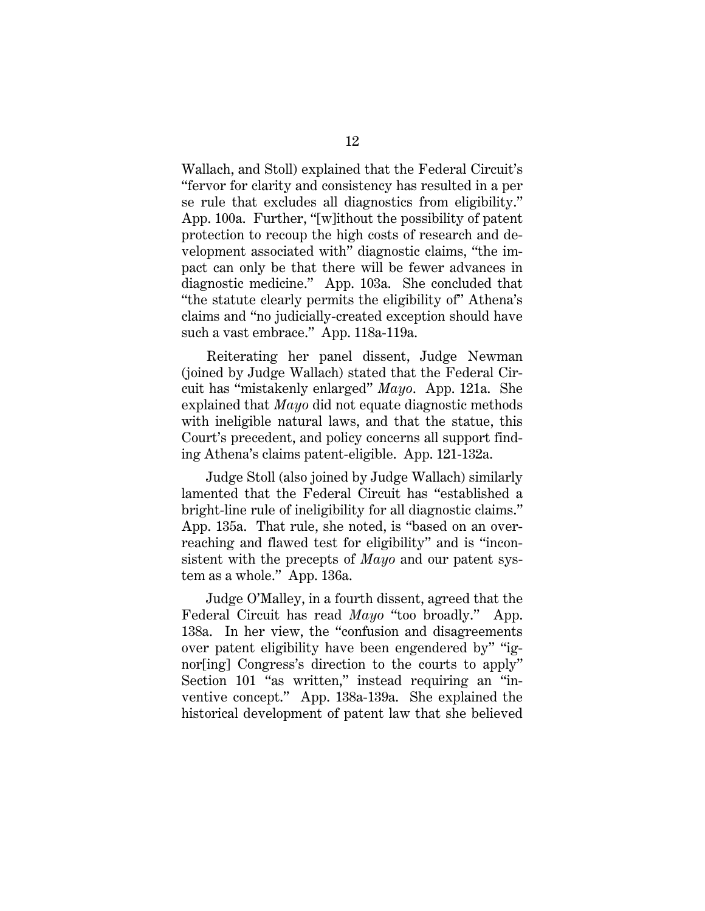Wallach, and Stoll) explained that the Federal Circuit's "fervor for clarity and consistency has resulted in a per se rule that excludes all diagnostics from eligibility." App. 100a. Further, "[w]ithout the possibility of patent protection to recoup the high costs of research and development associated with" diagnostic claims, "the impact can only be that there will be fewer advances in diagnostic medicine." App. 103a. She concluded that "the statute clearly permits the eligibility of" Athena's claims and "no judicially-created exception should have such a vast embrace." App. 118a-119a.

Reiterating her panel dissent, Judge Newman (joined by Judge Wallach) stated that the Federal Circuit has "mistakenly enlarged" *Mayo*. App. 121a. She explained that *Mayo* did not equate diagnostic methods with ineligible natural laws, and that the statue, this Court's precedent, and policy concerns all support finding Athena's claims patent-eligible. App. 121-132a.

Judge Stoll (also joined by Judge Wallach) similarly lamented that the Federal Circuit has "established a bright-line rule of ineligibility for all diagnostic claims." App. 135a. That rule, she noted, is "based on an overreaching and flawed test for eligibility" and is "inconsistent with the precepts of *Mayo* and our patent system as a whole." App. 136a.

Judge O'Malley, in a fourth dissent, agreed that the Federal Circuit has read *Mayo* "too broadly." App. 138a. In her view, the "confusion and disagreements over patent eligibility have been engendered by" "ignor[ing] Congress's direction to the courts to apply" Section 101 "as written," instead requiring an "inventive concept." App. 138a-139a. She explained the historical development of patent law that she believed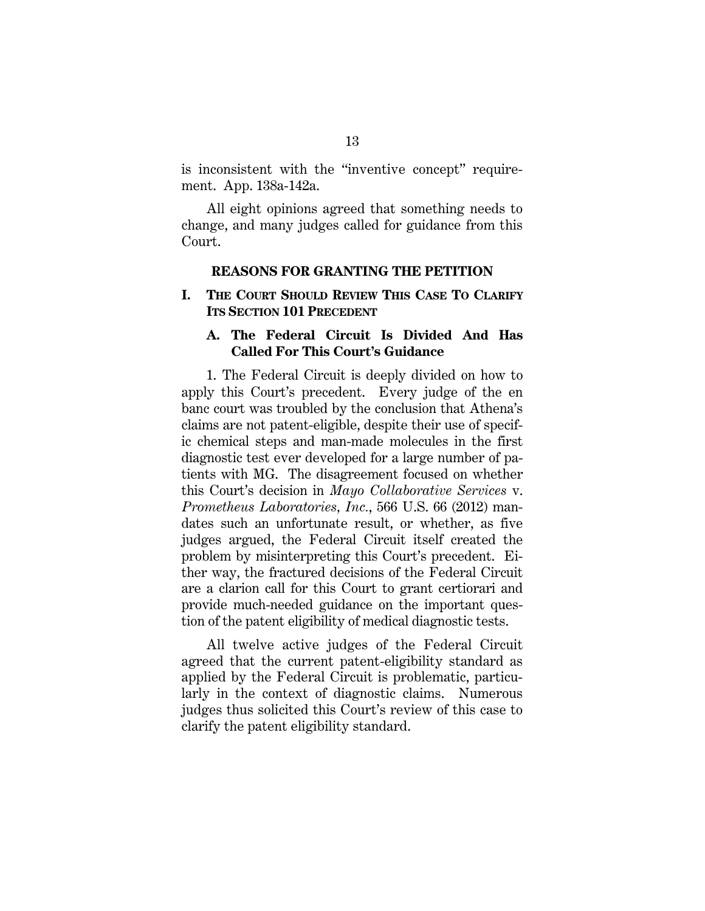is inconsistent with the "inventive concept" requirement. App. 138a-142a.

All eight opinions agreed that something needs to change, and many judges called for guidance from this Court.

#### **REASONS FOR GRANTING THE PETITION**

## **I. THE COURT SHOULD REVIEW THIS CASE TO CLARIFY ITS SECTION 101 PRECEDENT**

## **A. The Federal Circuit Is Divided And Has Called For This Court's Guidance**

1. The Federal Circuit is deeply divided on how to apply this Court's precedent. Every judge of the en banc court was troubled by the conclusion that Athena's claims are not patent-eligible, despite their use of specific chemical steps and man-made molecules in the first diagnostic test ever developed for a large number of patients with MG. The disagreement focused on whether this Court's decision in *Mayo Collaborative Services* v. *Prometheus Laboratories, Inc.*, 566 U.S. 66 (2012) mandates such an unfortunate result, or whether, as five judges argued, the Federal Circuit itself created the problem by misinterpreting this Court's precedent. Either way, the fractured decisions of the Federal Circuit are a clarion call for this Court to grant certiorari and provide much-needed guidance on the important question of the patent eligibility of medical diagnostic tests.

All twelve active judges of the Federal Circuit agreed that the current patent-eligibility standard as applied by the Federal Circuit is problematic, particularly in the context of diagnostic claims. Numerous judges thus solicited this Court's review of this case to clarify the patent eligibility standard.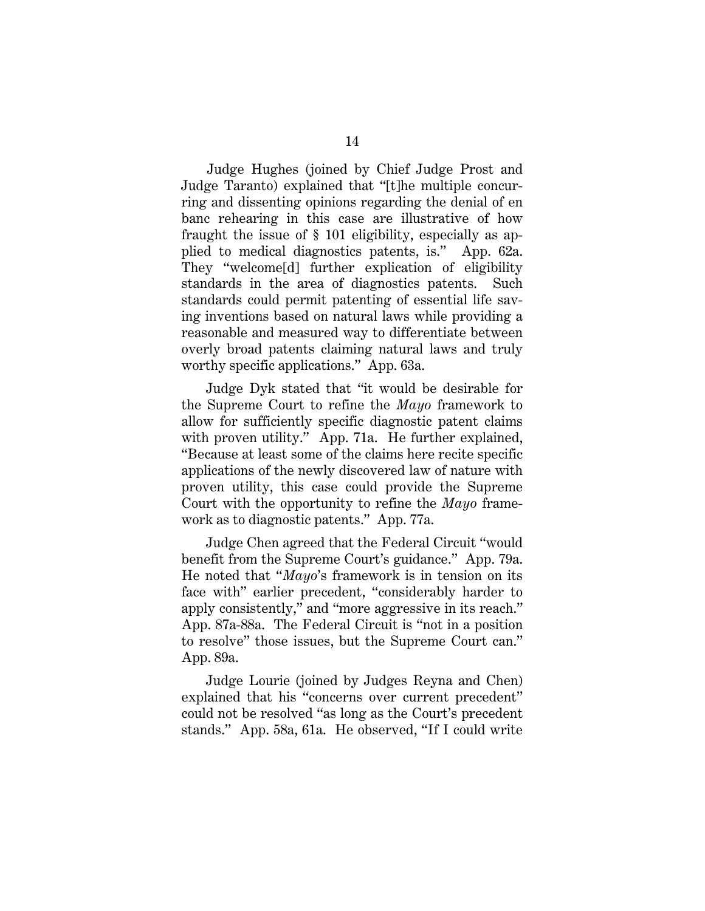Judge Hughes (joined by Chief Judge Prost and Judge Taranto) explained that "[t]he multiple concurring and dissenting opinions regarding the denial of en banc rehearing in this case are illustrative of how fraught the issue of § 101 eligibility, especially as applied to medical diagnostics patents, is." App. 62a. They "welcome[d] further explication of eligibility standards in the area of diagnostics patents. Such standards could permit patenting of essential life saving inventions based on natural laws while providing a reasonable and measured way to differentiate between overly broad patents claiming natural laws and truly worthy specific applications." App. 63a.

Judge Dyk stated that "it would be desirable for the Supreme Court to refine the *Mayo* framework to allow for sufficiently specific diagnostic patent claims with proven utility." App. 71a. He further explained, "Because at least some of the claims here recite specific applications of the newly discovered law of nature with proven utility, this case could provide the Supreme Court with the opportunity to refine the *Mayo* framework as to diagnostic patents." App. 77a.

Judge Chen agreed that the Federal Circuit "would benefit from the Supreme Court's guidance." App. 79a. He noted that "*Mayo*'s framework is in tension on its face with" earlier precedent, "considerably harder to apply consistently," and "more aggressive in its reach." App. 87a-88a. The Federal Circuit is "not in a position to resolve" those issues, but the Supreme Court can." App. 89a.

Judge Lourie (joined by Judges Reyna and Chen) explained that his "concerns over current precedent" could not be resolved "as long as the Court's precedent stands." App. 58a, 61a. He observed, "If I could write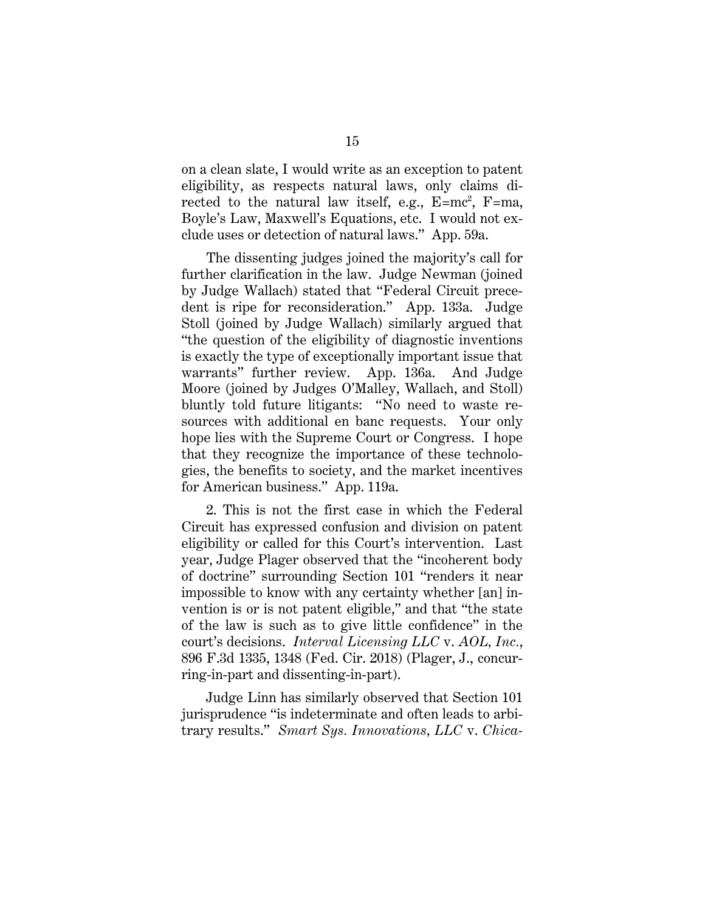on a clean slate, I would write as an exception to patent eligibility, as respects natural laws, only claims directed to the natural law itself, e.g.,  $E=mc^2$ ,  $F=ma$ , Boyle's Law, Maxwell's Equations, etc. I would not exclude uses or detection of natural laws." App. 59a.

The dissenting judges joined the majority's call for further clarification in the law. Judge Newman (joined by Judge Wallach) stated that "Federal Circuit precedent is ripe for reconsideration." App. 133a. Judge Stoll (joined by Judge Wallach) similarly argued that "the question of the eligibility of diagnostic inventions is exactly the type of exceptionally important issue that warrants" further review. App. 136a. And Judge Moore (joined by Judges O'Malley, Wallach, and Stoll) bluntly told future litigants: "No need to waste resources with additional en banc requests. Your only hope lies with the Supreme Court or Congress. I hope that they recognize the importance of these technologies, the benefits to society, and the market incentives for American business." App. 119a.

2. This is not the first case in which the Federal Circuit has expressed confusion and division on patent eligibility or called for this Court's intervention. Last year, Judge Plager observed that the "incoherent body of doctrine" surrounding Section 101 "renders it near impossible to know with any certainty whether [an] invention is or is not patent eligible," and that "the state of the law is such as to give little confidence" in the court's decisions. *Interval Licensing LLC* v. *AOL, Inc.*, 896 F.3d 1335, 1348 (Fed. Cir. 2018) (Plager, J., concurring-in-part and dissenting-in-part).

Judge Linn has similarly observed that Section 101 jurisprudence "is indeterminate and often leads to arbitrary results." *Smart Sys. Innovations, LLC* v. *Chica-*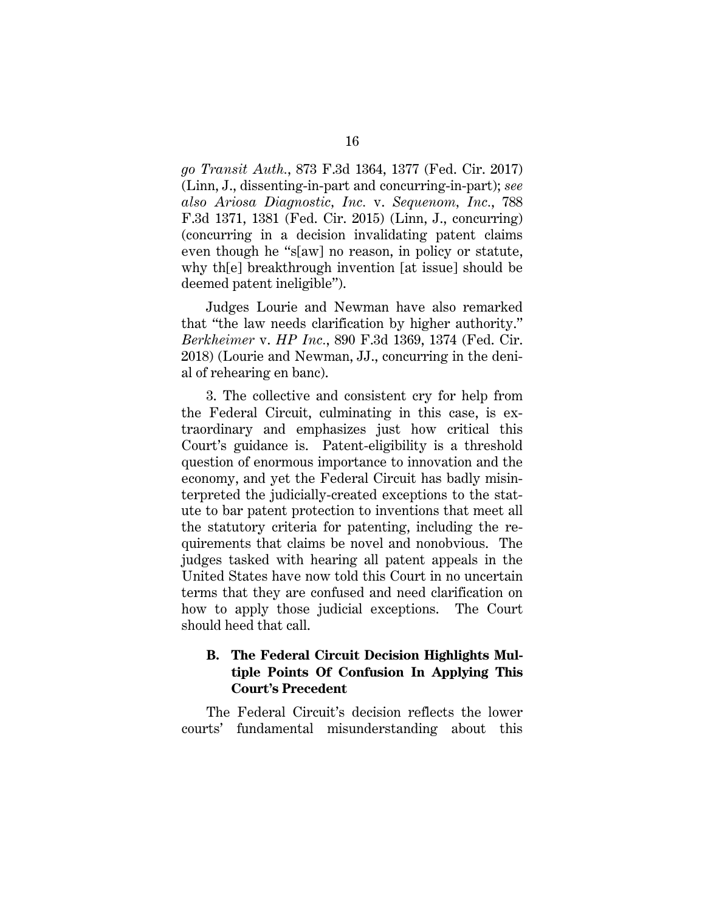*go Transit Auth.*, 873 F.3d 1364, 1377 (Fed. Cir. 2017) (Linn, J., dissenting-in-part and concurring-in-part); *see also Ariosa Diagnostic, Inc.* v. *Sequenom, Inc.*, 788 F.3d 1371, 1381 (Fed. Cir. 2015) (Linn, J., concurring) (concurring in a decision invalidating patent claims even though he "s[aw] no reason, in policy or statute, why th[e] breakthrough invention [at issue] should be deemed patent ineligible").

Judges Lourie and Newman have also remarked that "the law needs clarification by higher authority." *Berkheimer* v. *HP Inc.*, 890 F.3d 1369, 1374 (Fed. Cir. 2018) (Lourie and Newman, JJ., concurring in the denial of rehearing en banc).

3. The collective and consistent cry for help from the Federal Circuit, culminating in this case, is extraordinary and emphasizes just how critical this Court's guidance is. Patent-eligibility is a threshold question of enormous importance to innovation and the economy, and yet the Federal Circuit has badly misinterpreted the judicially-created exceptions to the statute to bar patent protection to inventions that meet all the statutory criteria for patenting, including the requirements that claims be novel and nonobvious. The judges tasked with hearing all patent appeals in the United States have now told this Court in no uncertain terms that they are confused and need clarification on how to apply those judicial exceptions. The Court should heed that call.

# **B. The Federal Circuit Decision Highlights Multiple Points Of Confusion In Applying This Court's Precedent**

The Federal Circuit's decision reflects the lower courts' fundamental misunderstanding about this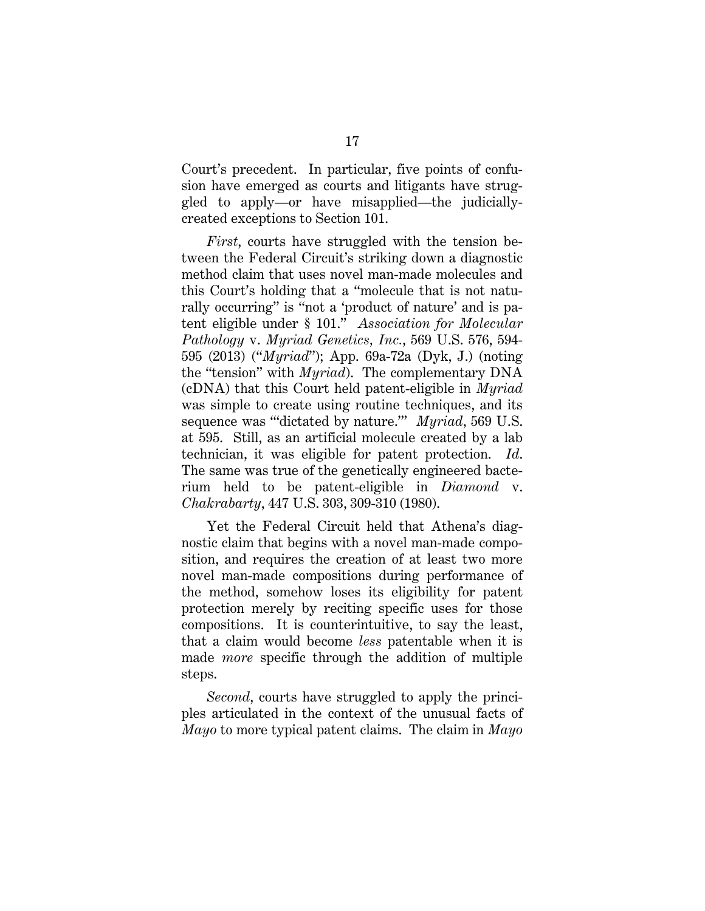Court's precedent. In particular, five points of confusion have emerged as courts and litigants have struggled to apply—or have misapplied—the judiciallycreated exceptions to Section 101.

*First*, courts have struggled with the tension between the Federal Circuit's striking down a diagnostic method claim that uses novel man-made molecules and this Court's holding that a "molecule that is not naturally occurring" is "not a 'product of nature' and is patent eligible under § 101." *Association for Molecular Pathology* v. *Myriad Genetics, Inc.*, 569 U.S. 576, 594- 595 (2013) ("*Myriad*"); App. 69a-72a (Dyk, J.) (noting the "tension" with *Myriad*). The complementary DNA (cDNA) that this Court held patent-eligible in *Myriad* was simple to create using routine techniques, and its sequence was "'dictated by nature.'" *Myriad*, 569 U.S. at 595. Still, as an artificial molecule created by a lab technician, it was eligible for patent protection. *Id*. The same was true of the genetically engineered bacterium held to be patent-eligible in *Diamond* v. *Chakrabarty*, 447 U.S. 303, 309-310 (1980).

Yet the Federal Circuit held that Athena's diagnostic claim that begins with a novel man-made composition, and requires the creation of at least two more novel man-made compositions during performance of the method, somehow loses its eligibility for patent protection merely by reciting specific uses for those compositions. It is counterintuitive, to say the least, that a claim would become *less* patentable when it is made *more* specific through the addition of multiple steps.

*Second*, courts have struggled to apply the principles articulated in the context of the unusual facts of *Mayo* to more typical patent claims. The claim in *Mayo*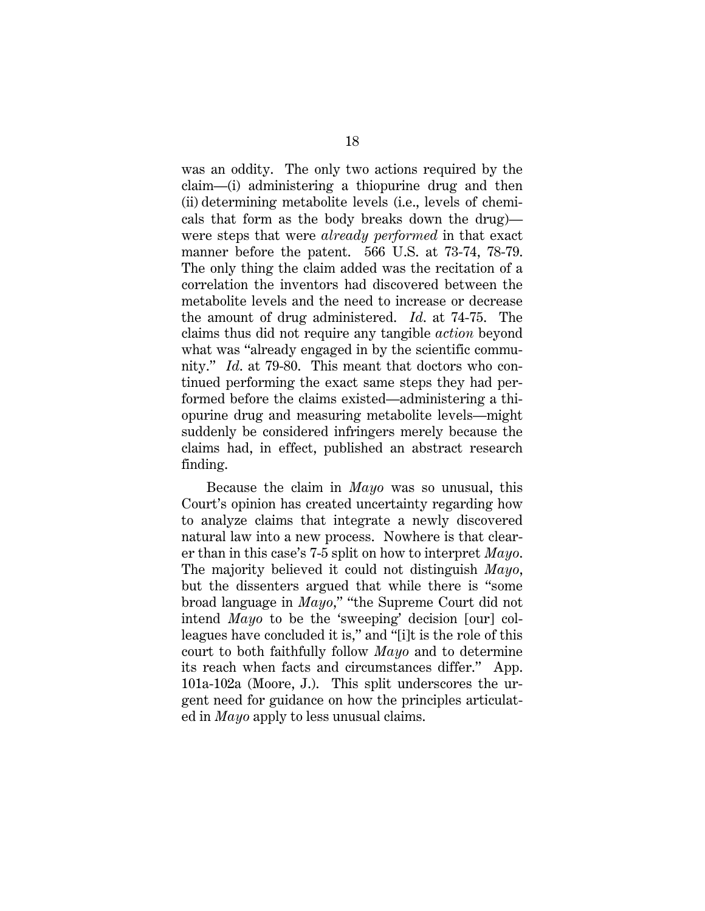was an oddity. The only two actions required by the claim—(i) administering a thiopurine drug and then (ii) determining metabolite levels (i.e., levels of chemicals that form as the body breaks down the drug) were steps that were *already performed* in that exact manner before the patent. 566 U.S. at 73-74, 78-79. The only thing the claim added was the recitation of a correlation the inventors had discovered between the metabolite levels and the need to increase or decrease the amount of drug administered. *Id*. at 74-75. The claims thus did not require any tangible *action* beyond what was "already engaged in by the scientific community." *Id*. at 79-80. This meant that doctors who continued performing the exact same steps they had performed before the claims existed—administering a thiopurine drug and measuring metabolite levels—might suddenly be considered infringers merely because the claims had, in effect, published an abstract research finding.

Because the claim in *Mayo* was so unusual, this Court's opinion has created uncertainty regarding how to analyze claims that integrate a newly discovered natural law into a new process. Nowhere is that clearer than in this case's 7-5 split on how to interpret *Mayo*. The majority believed it could not distinguish *Mayo*, but the dissenters argued that while there is "some broad language in *Mayo*," "the Supreme Court did not intend *Mayo* to be the 'sweeping' decision [our] colleagues have concluded it is," and "[i]t is the role of this court to both faithfully follow *Mayo* and to determine its reach when facts and circumstances differ." App. 101a-102a (Moore, J.). This split underscores the urgent need for guidance on how the principles articulated in *Mayo* apply to less unusual claims.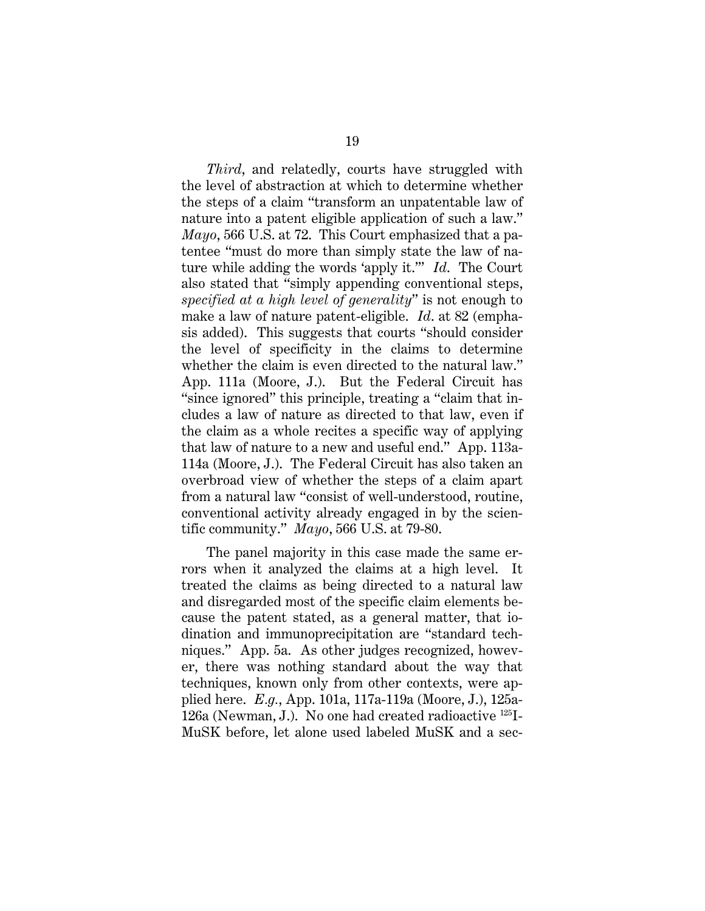*Third*, and relatedly, courts have struggled with the level of abstraction at which to determine whether the steps of a claim "transform an unpatentable law of nature into a patent eligible application of such a law." *Mayo*, 566 U.S. at 72. This Court emphasized that a patentee "must do more than simply state the law of nature while adding the words 'apply it.'" *Id*. The Court also stated that "simply appending conventional steps, *specified at a high level of generality*" is not enough to make a law of nature patent-eligible. *Id*. at 82 (emphasis added). This suggests that courts "should consider the level of specificity in the claims to determine whether the claim is even directed to the natural law." App. 111a (Moore, J.). But the Federal Circuit has "since ignored" this principle, treating a "claim that includes a law of nature as directed to that law, even if the claim as a whole recites a specific way of applying that law of nature to a new and useful end." App. 113a-114a (Moore, J.). The Federal Circuit has also taken an overbroad view of whether the steps of a claim apart from a natural law "consist of well-understood, routine, conventional activity already engaged in by the scientific community." *Mayo*, 566 U.S. at 79-80.

The panel majority in this case made the same errors when it analyzed the claims at a high level. It treated the claims as being directed to a natural law and disregarded most of the specific claim elements because the patent stated, as a general matter, that iodination and immunoprecipitation are "standard techniques." App. 5a. As other judges recognized, however, there was nothing standard about the way that techniques, known only from other contexts, were applied here. *E.g.*, App. 101a, 117a-119a (Moore, J.), 125a-126a (Newman, J.). No one had created radioactive 125I-MuSK before, let alone used labeled MuSK and a sec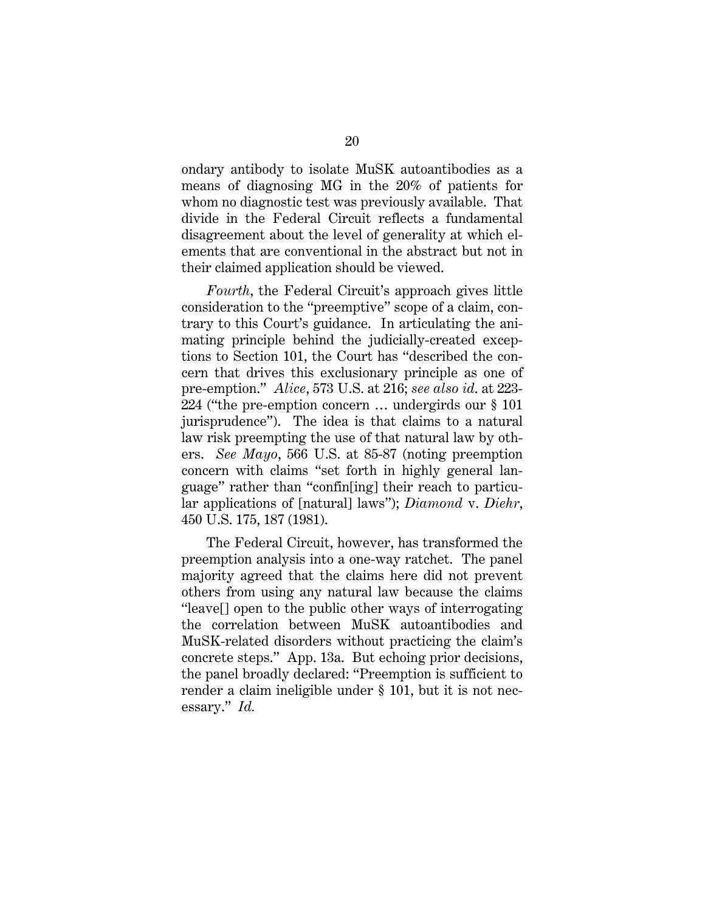ondary antibody to isolate MuSK autoantibodies as a means of diagnosing MG in the 20% of patients for whom no diagnostic test was previously available. That divide in the Federal Circuit reflects a fundamental disagreement about the level of generality at which elements that are conventional in the abstract but not in their claimed application should be viewed.

*Fourth*, the Federal Circuit's approach gives little consideration to the "preemptive" scope of a claim, contrary to this Court's guidance. In articulating the animating principle behind the judicially-created exceptions to Section 101, the Court has "described the concern that drives this exclusionary principle as one of pre-emption." *Alice*, 573 U.S. at 216; *see also id*. at 223- 224 ("the pre-emption concern … undergirds our § 101 jurisprudence"). The idea is that claims to a natural law risk preempting the use of that natural law by others. *See Mayo*, 566 U.S. at 85-87 (noting preemption concern with claims "set forth in highly general language" rather than "confin[ing] their reach to particular applications of [natural] laws"); *Diamond* v. *Diehr*, 450 U.S. 175, 187 (1981).

The Federal Circuit, however, has transformed the preemption analysis into a one-way ratchet. The panel majority agreed that the claims here did not prevent others from using any natural law because the claims "leave[] open to the public other ways of interrogating the correlation between MuSK autoantibodies and MuSK-related disorders without practicing the claim's concrete steps." App. 13a. But echoing prior decisions, the panel broadly declared: "Preemption is sufficient to render a claim ineligible under § 101, but it is not necessary." *Id.*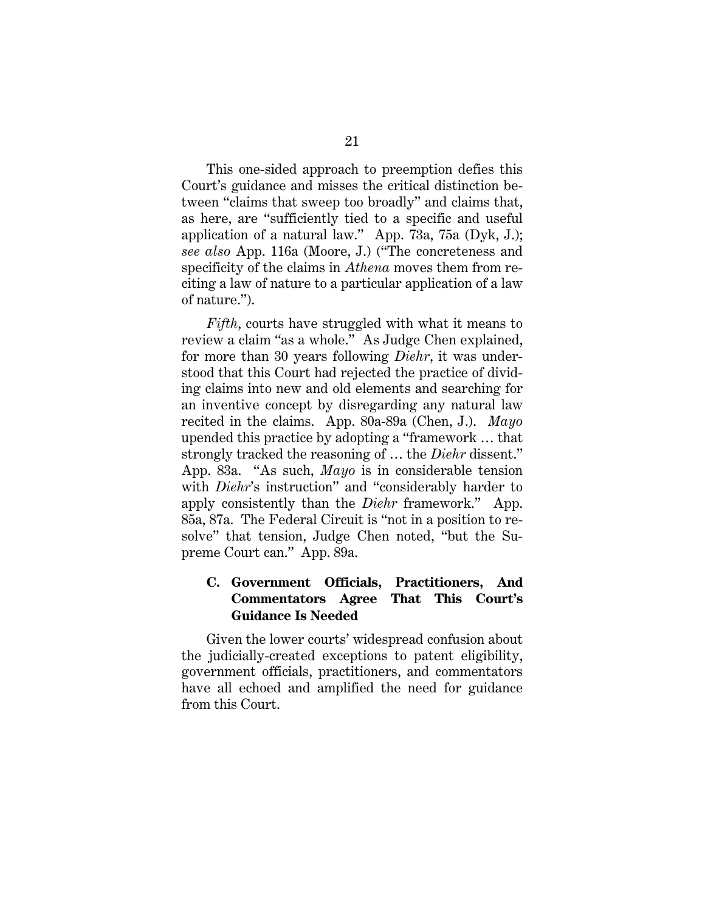This one-sided approach to preemption defies this Court's guidance and misses the critical distinction between "claims that sweep too broadly" and claims that, as here, are "sufficiently tied to a specific and useful application of a natural law." App. 73a, 75a (Dyk, J.); *see also* App. 116a (Moore, J.) ("The concreteness and specificity of the claims in *Athena* moves them from reciting a law of nature to a particular application of a law of nature.").

*Fifth*, courts have struggled with what it means to review a claim "as a whole." As Judge Chen explained, for more than 30 years following *Diehr*, it was understood that this Court had rejected the practice of dividing claims into new and old elements and searching for an inventive concept by disregarding any natural law recited in the claims. App. 80a-89a (Chen, J.). *Mayo* upended this practice by adopting a "framework … that strongly tracked the reasoning of … the *Diehr* dissent." App. 83a. "As such, *Mayo* is in considerable tension with *Diehr*'s instruction" and "considerably harder to apply consistently than the *Diehr* framework." App. 85a, 87a. The Federal Circuit is "not in a position to resolve" that tension, Judge Chen noted, "but the Supreme Court can." App. 89a.

# **C. Government Officials, Practitioners, And Commentators Agree That This Court's Guidance Is Needed**

Given the lower courts' widespread confusion about the judicially-created exceptions to patent eligibility, government officials, practitioners, and commentators have all echoed and amplified the need for guidance from this Court.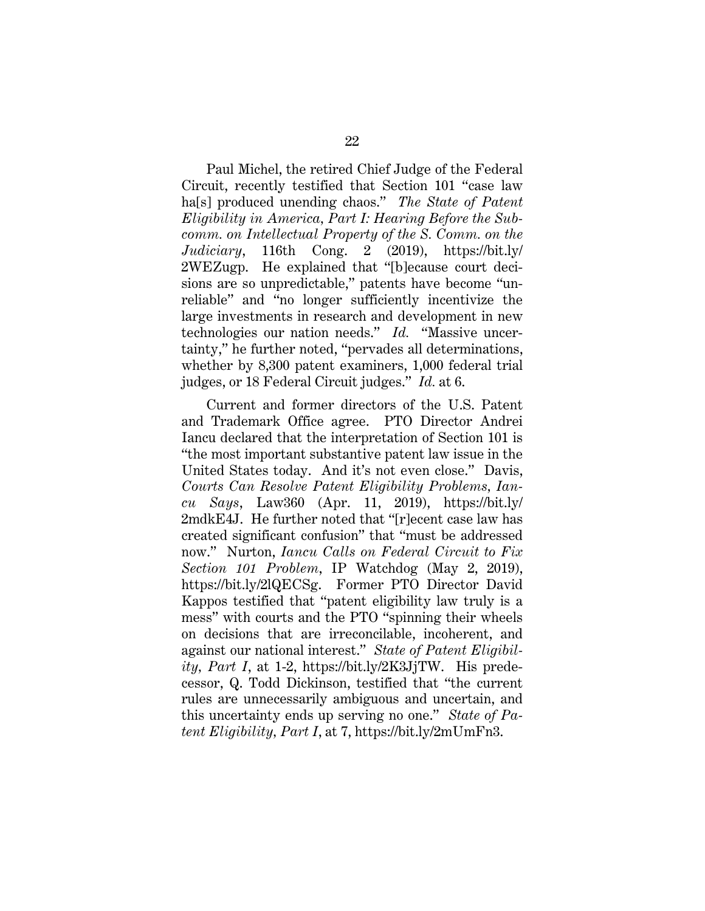Paul Michel, the retired Chief Judge of the Federal Circuit, recently testified that Section 101 "case law ha[s] produced unending chaos." *The State of Patent Eligibility in America, Part I: Hearing Before the Subcomm. on Intellectual Property of the S. Comm. on the Judiciary*, 116th Cong. 2 (2019), https://bit.ly/ 2WEZugp. He explained that "[b]ecause court decisions are so unpredictable," patents have become "unreliable" and "no longer sufficiently incentivize the large investments in research and development in new technologies our nation needs." *Id.* "Massive uncertainty," he further noted, "pervades all determinations, whether by 8,300 patent examiners, 1,000 federal trial judges, or 18 Federal Circuit judges." *Id.* at 6.

Current and former directors of the U.S. Patent and Trademark Office agree. PTO Director Andrei Iancu declared that the interpretation of Section 101 is "the most important substantive patent law issue in the United States today. And it's not even close." Davis, *Courts Can Resolve Patent Eligibility Problems, Iancu Says*, Law360 (Apr. 11, 2019), https://bit.ly/ 2mdkE4J. He further noted that "[r]ecent case law has created significant confusion" that "must be addressed now." Nurton, *Iancu Calls on Federal Circuit to Fix Section 101 Problem*, IP Watchdog (May 2, 2019), https://bit.ly/2lQECSg. Former PTO Director David Kappos testified that "patent eligibility law truly is a mess" with courts and the PTO "spinning their wheels on decisions that are irreconcilable, incoherent, and against our national interest." *State of Patent Eligibility, Part I*, at 1-2, https://bit.ly/2K3JjTW. His predecessor, Q. Todd Dickinson, testified that "the current rules are unnecessarily ambiguous and uncertain, and this uncertainty ends up serving no one." *State of Patent Eligibility, Part I*, at 7, https://bit.ly/2mUmFn3.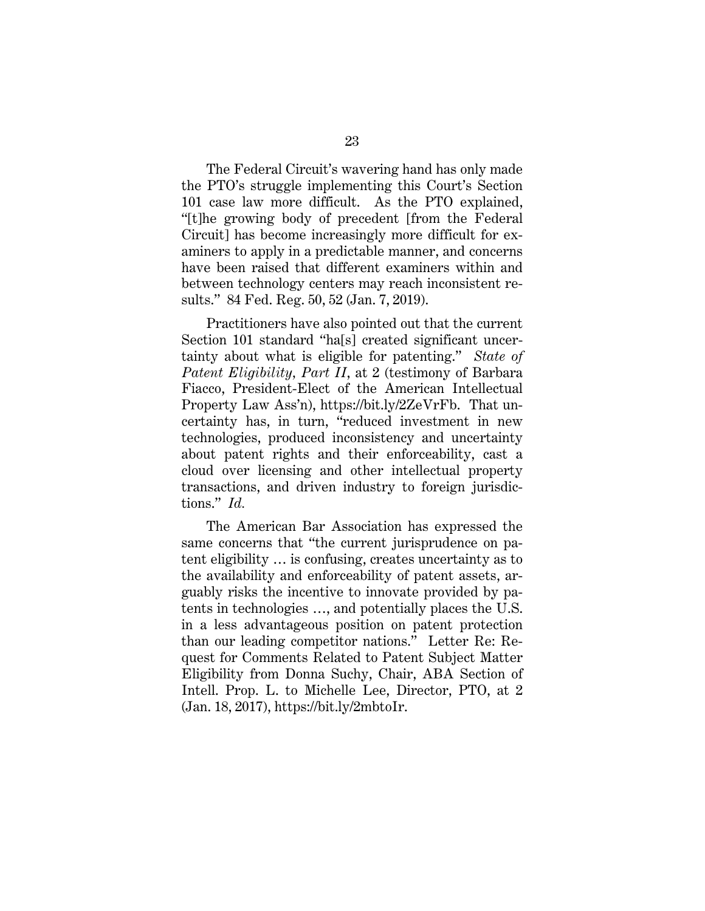The Federal Circuit's wavering hand has only made the PTO's struggle implementing this Court's Section 101 case law more difficult. As the PTO explained, "[t]he growing body of precedent [from the Federal Circuit] has become increasingly more difficult for examiners to apply in a predictable manner, and concerns have been raised that different examiners within and between technology centers may reach inconsistent results." 84 Fed. Reg. 50, 52 (Jan. 7, 2019).

Practitioners have also pointed out that the current Section 101 standard "ha[s] created significant uncertainty about what is eligible for patenting." *State of Patent Eligibility, Part II*, at 2 (testimony of Barbara Fiacco, President-Elect of the American Intellectual Property Law Ass'n), https://bit.ly/2ZeVrFb. That uncertainty has, in turn, "reduced investment in new technologies, produced inconsistency and uncertainty about patent rights and their enforceability, cast a cloud over licensing and other intellectual property transactions, and driven industry to foreign jurisdictions." *Id.*

The American Bar Association has expressed the same concerns that "the current jurisprudence on patent eligibility … is confusing, creates uncertainty as to the availability and enforceability of patent assets, arguably risks the incentive to innovate provided by patents in technologies …, and potentially places the U.S. in a less advantageous position on patent protection than our leading competitor nations." Letter Re: Request for Comments Related to Patent Subject Matter Eligibility from Donna Suchy, Chair, ABA Section of Intell. Prop. L. to Michelle Lee, Director, PTO, at 2 (Jan. 18, 2017), https://bit.ly/2mbtoIr.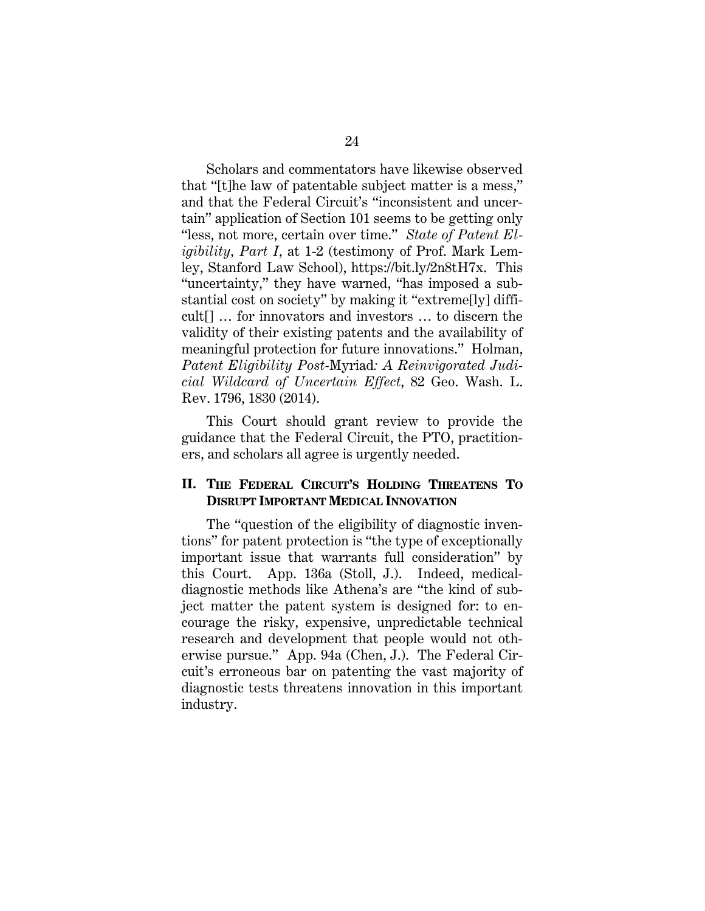Scholars and commentators have likewise observed that "[t]he law of patentable subject matter is a mess," and that the Federal Circuit's "inconsistent and uncertain" application of Section 101 seems to be getting only "less, not more, certain over time." *State of Patent Eligibility, Part I*, at 1-2 (testimony of Prof. Mark Lemley, Stanford Law School), https://bit.ly/2n8tH7x. This "uncertainty," they have warned, "has imposed a substantial cost on society" by making it "extreme[ly] difficult[] … for innovators and investors … to discern the validity of their existing patents and the availability of meaningful protection for future innovations." Holman, *Patent Eligibility Post-*Myriad*: A Reinvigorated Judicial Wildcard of Uncertain Effect*, 82 Geo. Wash. L. Rev. 1796, 1830 (2014).

This Court should grant review to provide the guidance that the Federal Circuit, the PTO, practitioners, and scholars all agree is urgently needed.

### **II. THE FEDERAL CIRCUIT'S HOLDING THREATENS TO DISRUPT IMPORTANT MEDICAL INNOVATION**

The "question of the eligibility of diagnostic inventions" for patent protection is "the type of exceptionally important issue that warrants full consideration" by this Court. App. 136a (Stoll, J.). Indeed, medicaldiagnostic methods like Athena's are "the kind of subject matter the patent system is designed for: to encourage the risky, expensive, unpredictable technical research and development that people would not otherwise pursue." App. 94a (Chen, J.). The Federal Circuit's erroneous bar on patenting the vast majority of diagnostic tests threatens innovation in this important industry.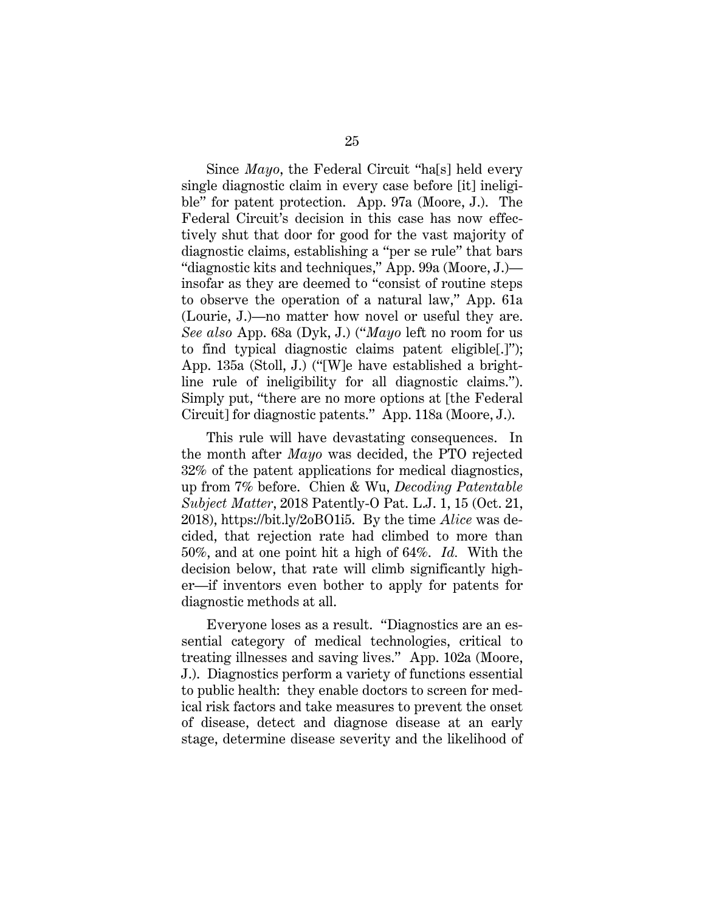Since *Mayo*, the Federal Circuit "ha[s] held every single diagnostic claim in every case before [it] ineligible" for patent protection. App. 97a (Moore, J.). The Federal Circuit's decision in this case has now effectively shut that door for good for the vast majority of diagnostic claims, establishing a "per se rule" that bars "diagnostic kits and techniques," App. 99a (Moore, J.) insofar as they are deemed to "consist of routine steps to observe the operation of a natural law," App. 61a (Lourie, J.)—no matter how novel or useful they are. *See also* App. 68a (Dyk, J.) ("*Mayo* left no room for us to find typical diagnostic claims patent eligible[.]"); App. 135a (Stoll, J.) ("[W]e have established a brightline rule of ineligibility for all diagnostic claims."). Simply put, "there are no more options at [the Federal Circuit] for diagnostic patents." App. 118a (Moore, J.).

This rule will have devastating consequences. In the month after *Mayo* was decided, the PTO rejected 32% of the patent applications for medical diagnostics, up from 7% before. Chien & Wu, *Decoding Patentable Subject Matter*, 2018 Patently-O Pat. L.J. 1, 15 (Oct. 21, 2018), https://bit.ly/2oBO1i5. By the time *Alice* was decided, that rejection rate had climbed to more than 50%, and at one point hit a high of 64%. *Id.* With the decision below, that rate will climb significantly higher—if inventors even bother to apply for patents for diagnostic methods at all.

Everyone loses as a result. "Diagnostics are an essential category of medical technologies, critical to treating illnesses and saving lives." App. 102a (Moore, J.). Diagnostics perform a variety of functions essential to public health: they enable doctors to screen for medical risk factors and take measures to prevent the onset of disease, detect and diagnose disease at an early stage, determine disease severity and the likelihood of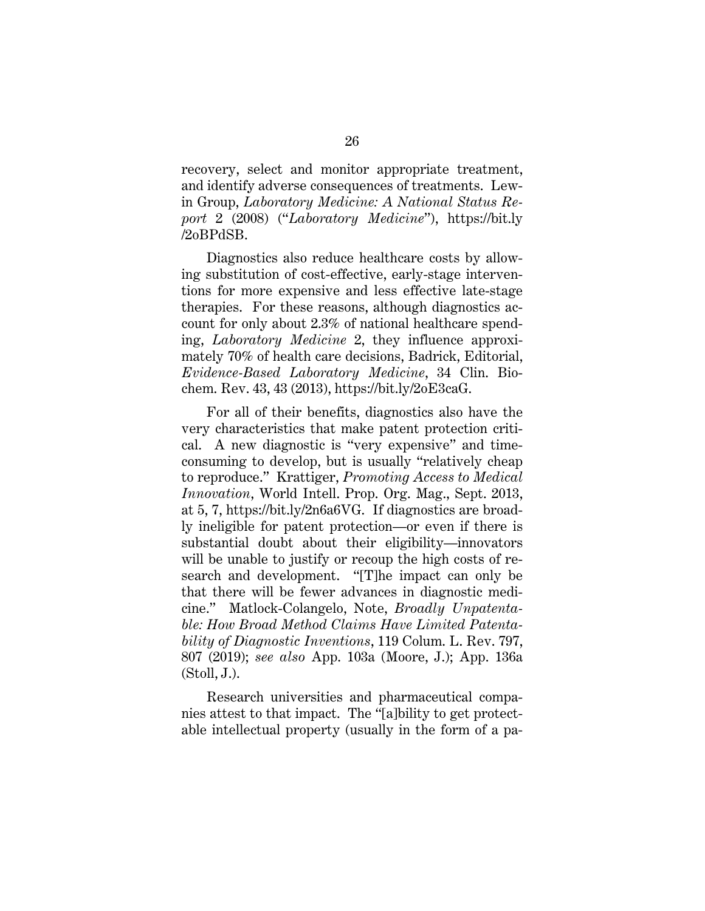recovery, select and monitor appropriate treatment, and identify adverse consequences of treatments. Lewin Group, *Laboratory Medicine: A National Status Report* 2 (2008) ("*Laboratory Medicine*"), https://bit.ly /2oBPdSB.

Diagnostics also reduce healthcare costs by allowing substitution of cost-effective, early-stage interventions for more expensive and less effective late-stage therapies. For these reasons, although diagnostics account for only about 2.3% of national healthcare spending, *Laboratory Medicine* 2, they influence approximately 70% of health care decisions, Badrick, Editorial, *Evidence-Based Laboratory Medicine*, 34 Clin. Biochem. Rev. 43, 43 (2013), https://bit.ly/2oE3caG.

For all of their benefits, diagnostics also have the very characteristics that make patent protection critical. A new diagnostic is "very expensive" and timeconsuming to develop, but is usually "relatively cheap to reproduce." Krattiger, *Promoting Access to Medical Innovation*, World Intell. Prop. Org. Mag., Sept. 2013, at 5, 7, https://bit.ly/2n6a6VG. If diagnostics are broadly ineligible for patent protection—or even if there is substantial doubt about their eligibility—innovators will be unable to justify or recoup the high costs of research and development. "[T]he impact can only be that there will be fewer advances in diagnostic medicine." Matlock-Colangelo, Note, *Broadly Unpatentable: How Broad Method Claims Have Limited Patentability of Diagnostic Inventions*, 119 Colum. L. Rev. 797, 807 (2019); *see also* App. 103a (Moore, J.); App. 136a (Stoll, J.).

Research universities and pharmaceutical companies attest to that impact. The "[a]bility to get protectable intellectual property (usually in the form of a pa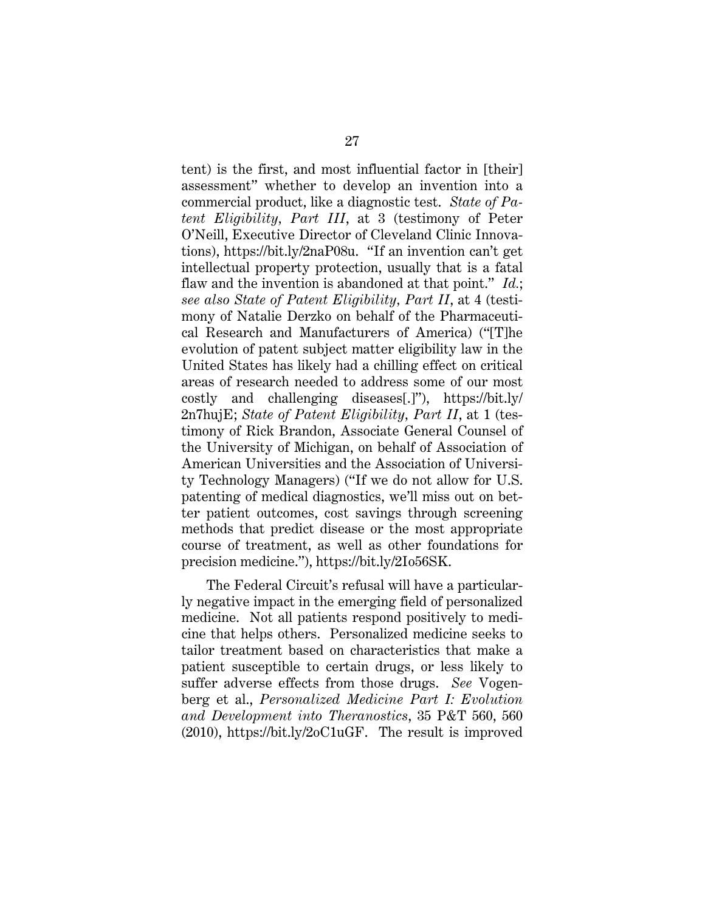tent) is the first, and most influential factor in [their] assessment" whether to develop an invention into a commercial product, like a diagnostic test. *State of Patent Eligibility, Part III*, at 3 (testimony of Peter O'Neill, Executive Director of Cleveland Clinic Innovations), https://bit.ly/2naP08u. "If an invention can't get intellectual property protection, usually that is a fatal flaw and the invention is abandoned at that point." *Id.*; *see also State of Patent Eligibility, Part II*, at 4 (testimony of Natalie Derzko on behalf of the Pharmaceutical Research and Manufacturers of America) ("[T]he evolution of patent subject matter eligibility law in the United States has likely had a chilling effect on critical areas of research needed to address some of our most costly and challenging diseases[.]"), https://bit.ly/ 2n7hujE; *State of Patent Eligibility, Part II*, at 1 (testimony of Rick Brandon, Associate General Counsel of the University of Michigan, on behalf of Association of American Universities and the Association of University Technology Managers) ("If we do not allow for U.S. patenting of medical diagnostics, we'll miss out on better patient outcomes, cost savings through screening methods that predict disease or the most appropriate course of treatment, as well as other foundations for precision medicine."), https://bit.ly/2Io56SK.

The Federal Circuit's refusal will have a particularly negative impact in the emerging field of personalized medicine. Not all patients respond positively to medicine that helps others. Personalized medicine seeks to tailor treatment based on characteristics that make a patient susceptible to certain drugs, or less likely to suffer adverse effects from those drugs. *See* Vogenberg et al., *Personalized Medicine Part I: Evolution and Development into Theranostics*, 35 P&T 560, 560 (2010), https://bit.ly/2oC1uGF. The result is improved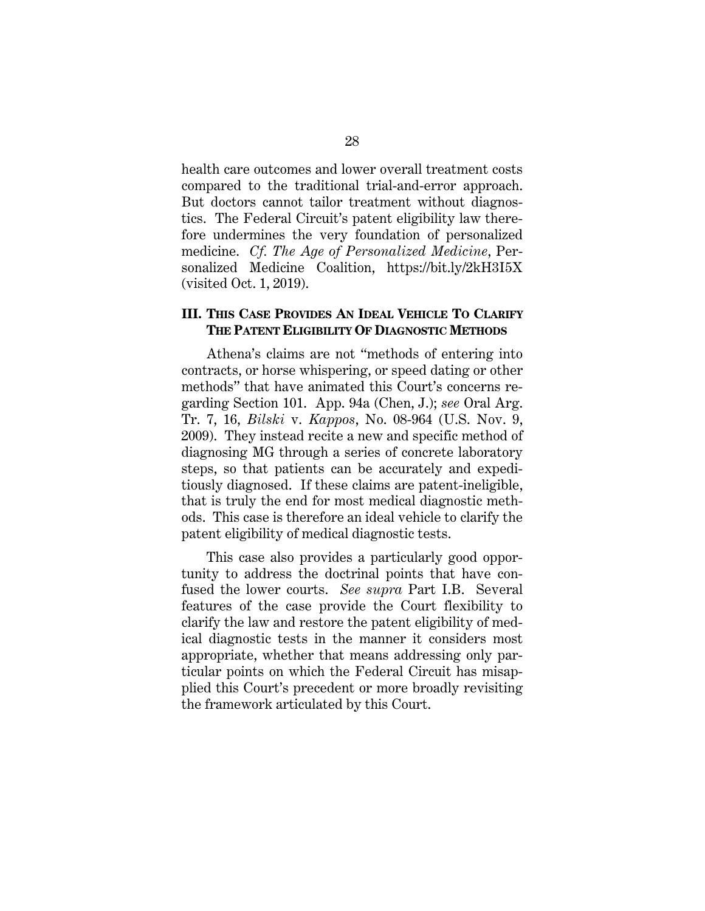health care outcomes and lower overall treatment costs compared to the traditional trial-and-error approach. But doctors cannot tailor treatment without diagnostics. The Federal Circuit's patent eligibility law therefore undermines the very foundation of personalized medicine. *Cf. The Age of Personalized Medicine*, Personalized Medicine Coalition, https://bit.ly/2kH3I5X (visited Oct. 1, 2019).

### **III. THIS CASE PROVIDES AN IDEAL VEHICLE TO CLARIFY THE PATENT ELIGIBILITY OF DIAGNOSTIC METHODS**

Athena's claims are not "methods of entering into contracts, or horse whispering, or speed dating or other methods" that have animated this Court's concerns regarding Section 101. App. 94a (Chen, J.); *see* Oral Arg. Tr. 7, 16, *Bilski* v. *Kappos*, No. 08-964 (U.S. Nov. 9, 2009). They instead recite a new and specific method of diagnosing MG through a series of concrete laboratory steps, so that patients can be accurately and expeditiously diagnosed. If these claims are patent-ineligible, that is truly the end for most medical diagnostic methods. This case is therefore an ideal vehicle to clarify the patent eligibility of medical diagnostic tests.

This case also provides a particularly good opportunity to address the doctrinal points that have confused the lower courts. *See supra* Part I.B. Several features of the case provide the Court flexibility to clarify the law and restore the patent eligibility of medical diagnostic tests in the manner it considers most appropriate, whether that means addressing only particular points on which the Federal Circuit has misapplied this Court's precedent or more broadly revisiting the framework articulated by this Court.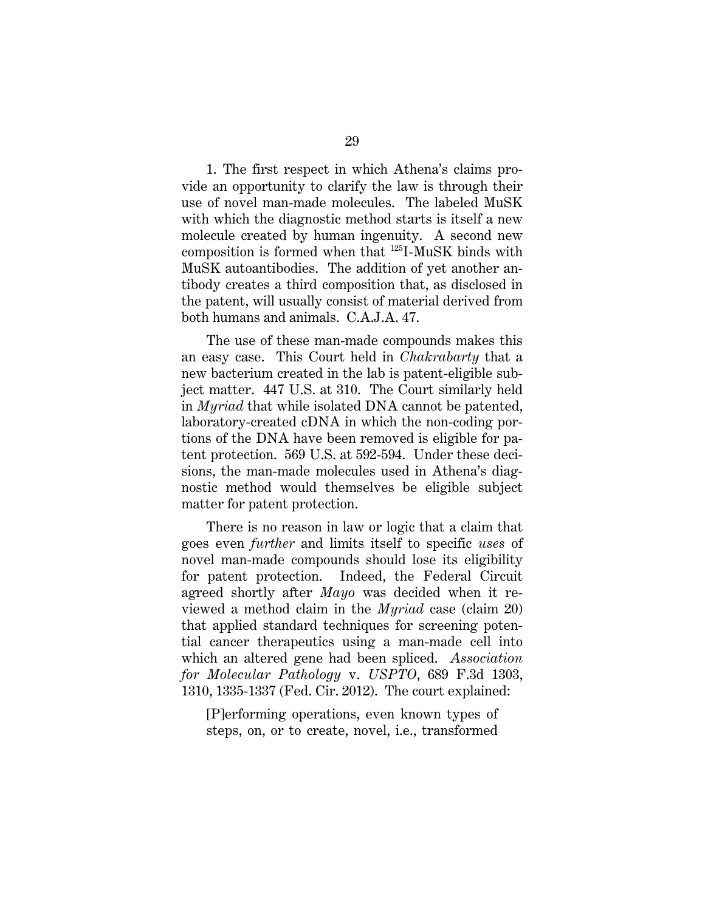1. The first respect in which Athena's claims provide an opportunity to clarify the law is through their use of novel man-made molecules. The labeled MuSK with which the diagnostic method starts is itself a new molecule created by human ingenuity. A second new composition is formed when that 125I-MuSK binds with MuSK autoantibodies. The addition of yet another antibody creates a third composition that, as disclosed in the patent, will usually consist of material derived from both humans and animals. C.A.J.A. 47.

The use of these man-made compounds makes this an easy case. This Court held in *Chakrabarty* that a new bacterium created in the lab is patent-eligible subject matter. 447 U.S. at 310. The Court similarly held in *Myriad* that while isolated DNA cannot be patented, laboratory-created cDNA in which the non-coding portions of the DNA have been removed is eligible for patent protection. 569 U.S. at 592-594. Under these decisions, the man-made molecules used in Athena's diagnostic method would themselves be eligible subject matter for patent protection.

There is no reason in law or logic that a claim that goes even *further* and limits itself to specific *uses* of novel man-made compounds should lose its eligibility for patent protection. Indeed, the Federal Circuit agreed shortly after *Mayo* was decided when it reviewed a method claim in the *Myriad* case (claim 20) that applied standard techniques for screening potential cancer therapeutics using a man-made cell into which an altered gene had been spliced. *Association for Molecular Pathology* v. *USPTO*, 689 F.3d 1303, 1310, 1335-1337 (Fed. Cir. 2012). The court explained:

[P]erforming operations, even known types of steps, on, or to create, novel, i.e., transformed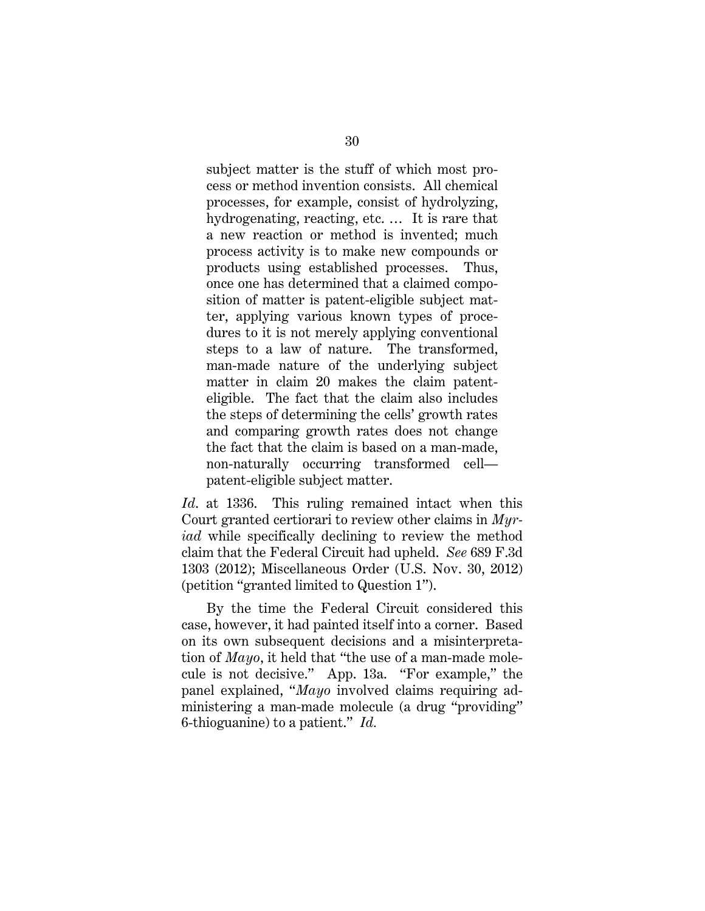subject matter is the stuff of which most process or method invention consists. All chemical processes, for example, consist of hydrolyzing, hydrogenating, reacting, etc. … It is rare that a new reaction or method is invented; much process activity is to make new compounds or products using established processes. Thus, once one has determined that a claimed composition of matter is patent-eligible subject matter, applying various known types of procedures to it is not merely applying conventional steps to a law of nature. The transformed, man-made nature of the underlying subject matter in claim 20 makes the claim patenteligible. The fact that the claim also includes the steps of determining the cells' growth rates and comparing growth rates does not change the fact that the claim is based on a man-made, non-naturally occurring transformed cell patent-eligible subject matter.

*Id*. at 1336. This ruling remained intact when this Court granted certiorari to review other claims in *Myriad* while specifically declining to review the method claim that the Federal Circuit had upheld. *See* 689 F.3d 1303 (2012); Miscellaneous Order (U.S. Nov. 30, 2012) (petition "granted limited to Question 1").

By the time the Federal Circuit considered this case, however, it had painted itself into a corner. Based on its own subsequent decisions and a misinterpretation of *Mayo*, it held that "the use of a man-made molecule is not decisive." App. 13a. "For example," the panel explained, "*Mayo* involved claims requiring administering a man-made molecule (a drug "providing" 6-thioguanine) to a patient." *Id.*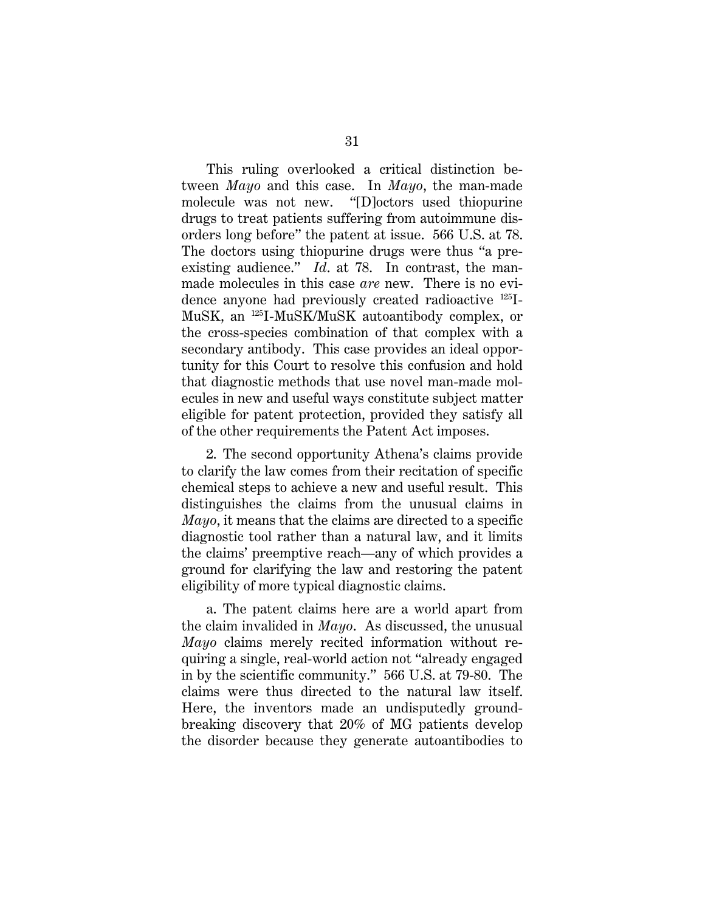This ruling overlooked a critical distinction between *Mayo* and this case. In *Mayo*, the man-made molecule was not new. "[D]octors used thiopurine drugs to treat patients suffering from autoimmune disorders long before" the patent at issue. 566 U.S. at 78. The doctors using thiopurine drugs were thus "a preexisting audience." *Id.* at 78. In contrast, the manmade molecules in this case *are* new. There is no evidence anyone had previously created radioactive 125I-MuSK, an 125I-MuSK/MuSK autoantibody complex, or the cross-species combination of that complex with a secondary antibody. This case provides an ideal opportunity for this Court to resolve this confusion and hold that diagnostic methods that use novel man-made molecules in new and useful ways constitute subject matter eligible for patent protection, provided they satisfy all of the other requirements the Patent Act imposes.

2. The second opportunity Athena's claims provide to clarify the law comes from their recitation of specific chemical steps to achieve a new and useful result. This distinguishes the claims from the unusual claims in *Mayo*, it means that the claims are directed to a specific diagnostic tool rather than a natural law, and it limits the claims' preemptive reach—any of which provides a ground for clarifying the law and restoring the patent eligibility of more typical diagnostic claims.

a. The patent claims here are a world apart from the claim invalided in *Mayo*. As discussed, the unusual *Mayo* claims merely recited information without requiring a single, real-world action not "already engaged in by the scientific community." 566 U.S. at 79-80. The claims were thus directed to the natural law itself. Here, the inventors made an undisputedly groundbreaking discovery that 20% of MG patients develop the disorder because they generate autoantibodies to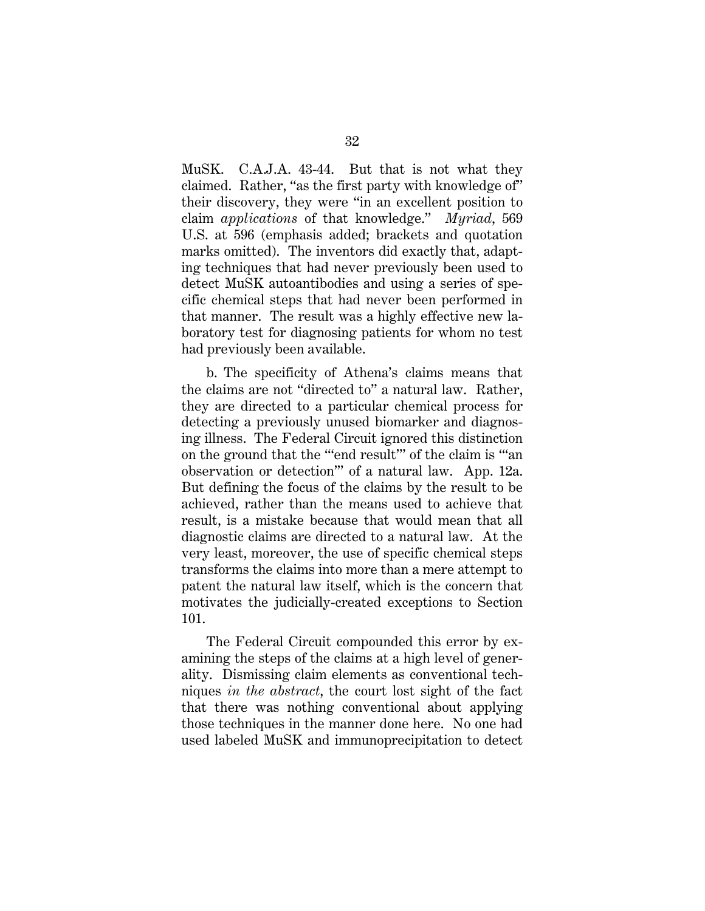MuSK. C.A.J.A. 43-44. But that is not what they claimed. Rather, "as the first party with knowledge of" their discovery, they were "in an excellent position to claim *applications* of that knowledge." *Myriad*, 569 U.S. at 596 (emphasis added; brackets and quotation marks omitted). The inventors did exactly that, adapting techniques that had never previously been used to detect MuSK autoantibodies and using a series of specific chemical steps that had never been performed in that manner. The result was a highly effective new laboratory test for diagnosing patients for whom no test had previously been available.

b. The specificity of Athena's claims means that the claims are not "directed to" a natural law. Rather, they are directed to a particular chemical process for detecting a previously unused biomarker and diagnosing illness. The Federal Circuit ignored this distinction on the ground that the "'end result'" of the claim is "'an observation or detection'" of a natural law. App. 12a. But defining the focus of the claims by the result to be achieved, rather than the means used to achieve that result, is a mistake because that would mean that all diagnostic claims are directed to a natural law. At the very least, moreover, the use of specific chemical steps transforms the claims into more than a mere attempt to patent the natural law itself, which is the concern that motivates the judicially-created exceptions to Section 101.

The Federal Circuit compounded this error by examining the steps of the claims at a high level of generality. Dismissing claim elements as conventional techniques *in the abstract*, the court lost sight of the fact that there was nothing conventional about applying those techniques in the manner done here. No one had used labeled MuSK and immunoprecipitation to detect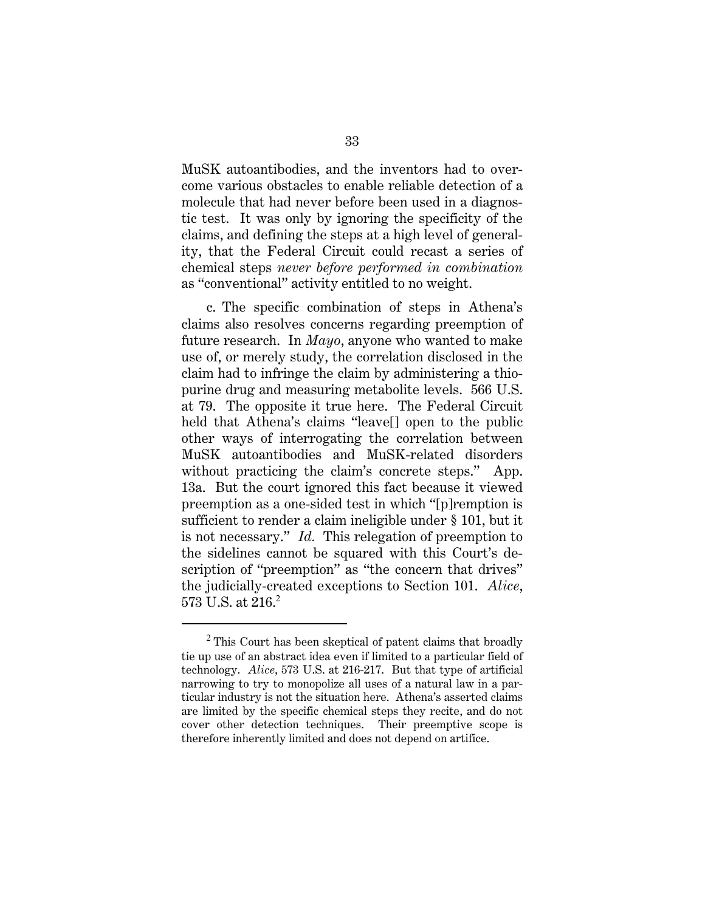MuSK autoantibodies, and the inventors had to overcome various obstacles to enable reliable detection of a molecule that had never before been used in a diagnostic test. It was only by ignoring the specificity of the claims, and defining the steps at a high level of generality, that the Federal Circuit could recast a series of chemical steps *never before performed in combination* as "conventional" activity entitled to no weight.

c. The specific combination of steps in Athena's claims also resolves concerns regarding preemption of future research. In *Mayo*, anyone who wanted to make use of, or merely study, the correlation disclosed in the claim had to infringe the claim by administering a thiopurine drug and measuring metabolite levels. 566 U.S. at 79. The opposite it true here. The Federal Circuit held that Athena's claims "leave[] open to the public other ways of interrogating the correlation between MuSK autoantibodies and MuSK-related disorders without practicing the claim's concrete steps." App. 13a. But the court ignored this fact because it viewed preemption as a one-sided test in which "[p]remption is sufficient to render a claim ineligible under § 101, but it is not necessary." *Id.* This relegation of preemption to the sidelines cannot be squared with this Court's description of "preemption" as "the concern that drives" the judicially-created exceptions to Section 101. *Alice*, 573 U.S. at 216.<sup>2</sup>

I

<sup>2</sup> This Court has been skeptical of patent claims that broadly tie up use of an abstract idea even if limited to a particular field of technology. *Alice*, 573 U.S. at 216-217. But that type of artificial narrowing to try to monopolize all uses of a natural law in a particular industry is not the situation here. Athena's asserted claims are limited by the specific chemical steps they recite, and do not cover other detection techniques. Their preemptive scope is therefore inherently limited and does not depend on artifice.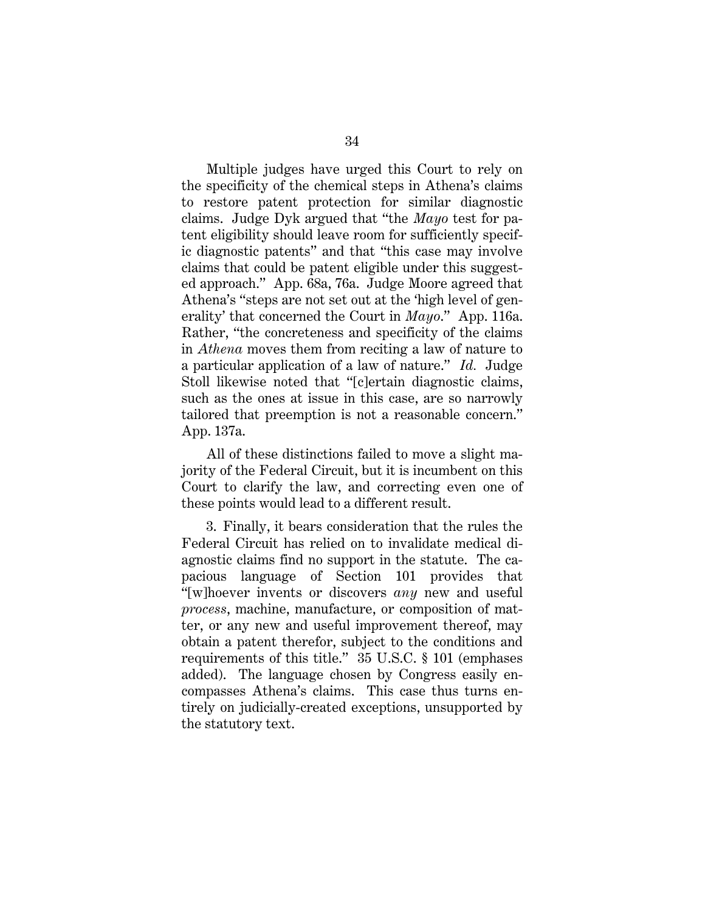Multiple judges have urged this Court to rely on the specificity of the chemical steps in Athena's claims to restore patent protection for similar diagnostic claims. Judge Dyk argued that "the *Mayo* test for patent eligibility should leave room for sufficiently specific diagnostic patents" and that "this case may involve claims that could be patent eligible under this suggested approach." App. 68a, 76a. Judge Moore agreed that Athena's "steps are not set out at the 'high level of generality' that concerned the Court in *Mayo*." App. 116a. Rather, "the concreteness and specificity of the claims in *Athena* moves them from reciting a law of nature to a particular application of a law of nature." *Id.* Judge Stoll likewise noted that "[c]ertain diagnostic claims, such as the ones at issue in this case, are so narrowly tailored that preemption is not a reasonable concern." App. 137a.

All of these distinctions failed to move a slight majority of the Federal Circuit, but it is incumbent on this Court to clarify the law, and correcting even one of these points would lead to a different result.

3. Finally, it bears consideration that the rules the Federal Circuit has relied on to invalidate medical diagnostic claims find no support in the statute. The capacious language of Section 101 provides that "[w]hoever invents or discovers *any* new and useful *process*, machine, manufacture, or composition of matter, or any new and useful improvement thereof, may obtain a patent therefor, subject to the conditions and requirements of this title." 35 U.S.C. § 101 (emphases added). The language chosen by Congress easily encompasses Athena's claims. This case thus turns entirely on judicially-created exceptions, unsupported by the statutory text.